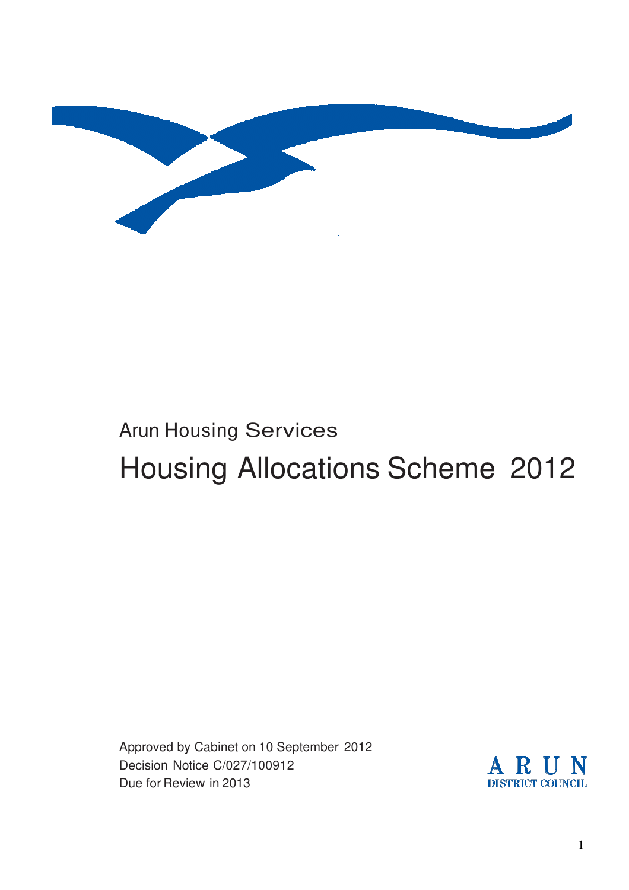

# Arun Housing Services Housing Allocations Scheme 2012

Approved by Cabinet on 10 September 2012 Decision Notice C/027/100912 Due for Review in 2013

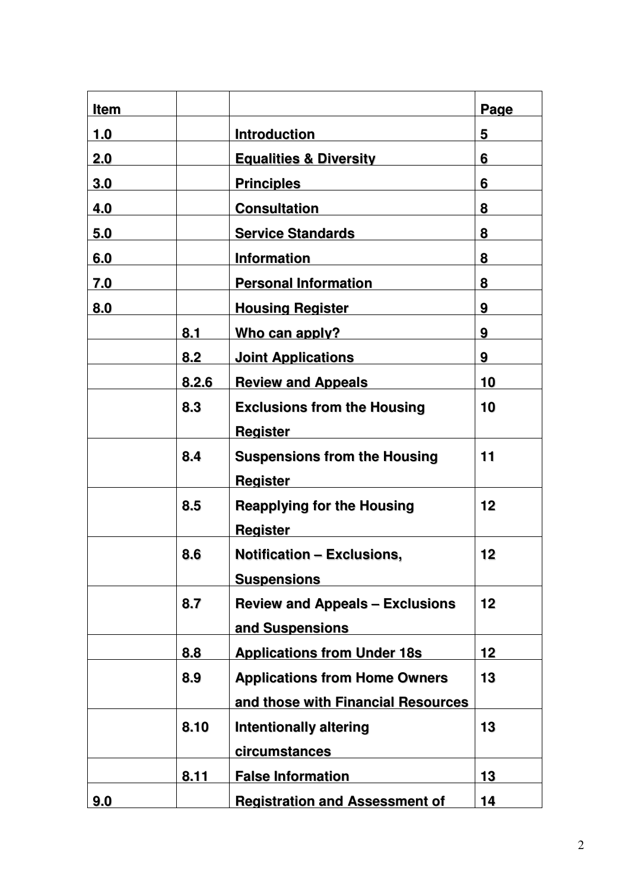| <b>Item</b> |       |                                        | Page |
|-------------|-------|----------------------------------------|------|
| 1.0         |       | <b>Introduction</b>                    | 5    |
| 2.0         |       | <b>Equalities &amp; Diversity</b>      | 6    |
| 3.0         |       | <b>Principles</b>                      | 6    |
| 4.0         |       | <b>Consultation</b>                    | 8    |
| 5.0         |       | <b>Service Standards</b>               | 8    |
| 6.0         |       | <b>Information</b>                     | 8    |
| 7.0         |       | <b>Personal Information</b>            | 8    |
| 8.0         |       | <b>Housing Register</b>                | 9    |
|             | 8.1   | Who can apply?                         | 9    |
|             | 8.2   | <b>Joint Applications</b>              | 9    |
|             | 8.2.6 | <b>Review and Appeals</b>              | 10   |
|             | 8.3   | <b>Exclusions from the Housing</b>     | 10   |
|             |       | <b>Register</b>                        |      |
|             | 8.4   | <b>Suspensions from the Housing</b>    | 11   |
|             |       | <b>Register</b>                        |      |
|             | 8.5   | <b>Reapplying for the Housing</b>      | 12   |
|             |       | <b>Register</b>                        |      |
|             | 8.6   | <b>Notification - Exclusions,</b>      | 12   |
|             |       | <b>Suspensions</b>                     |      |
|             | 8.7   | <b>Review and Appeals - Exclusions</b> | 12   |
|             |       | and Suspensions                        |      |
|             | 8.8   | <b>Applications from Under 18s</b>     | 12   |
|             | 8.9   | <b>Applications from Home Owners</b>   | 13   |
|             |       | and those with Financial Resources     |      |
|             | 8.10  | <b>Intentionally altering</b>          | 13   |
|             |       | circumstances                          |      |
|             | 8.11  | <b>False Information</b>               | 13   |
| 9.0         |       | <b>Registration and Assessment of</b>  | 14   |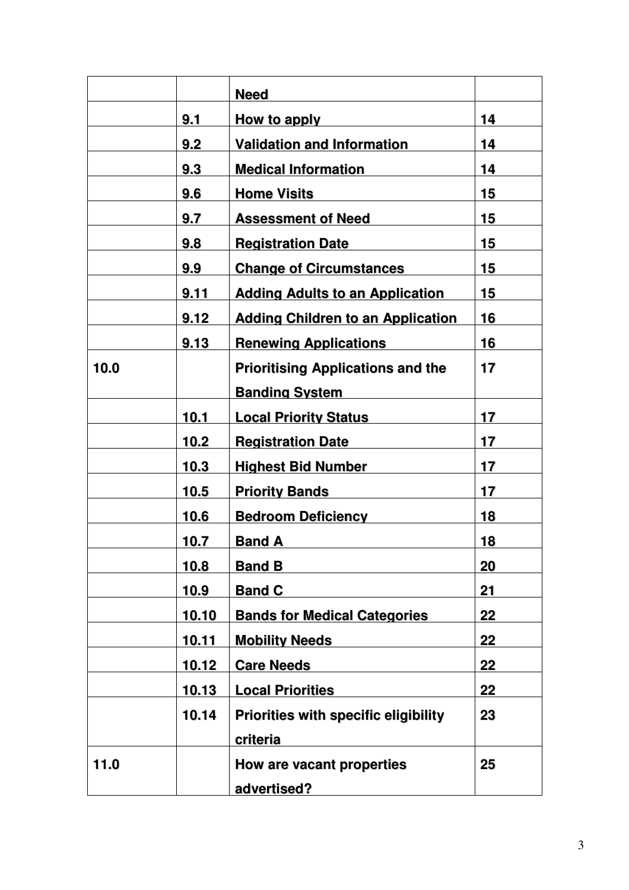|      |              | <b>Need</b>                                 |    |
|------|--------------|---------------------------------------------|----|
|      | 9.1          | How to apply                                | 14 |
|      | 9.2          | <b>Validation and Information</b>           | 14 |
|      | 9.3          | <b>Medical Information</b>                  | 14 |
|      | 9.6          | <b>Home Visits</b>                          | 15 |
|      | 9.7          | <b>Assessment of Need</b>                   | 15 |
|      | 9.8          | <b>Registration Date</b>                    | 15 |
|      | 9.9          | <b>Change of Circumstances</b>              | 15 |
|      | 9.11         | <b>Adding Adults to an Application</b>      | 15 |
|      | 9.12         | <b>Adding Children to an Application</b>    | 16 |
|      | 9.13         | <b>Renewing Applications</b>                | 16 |
| 10.0 |              | <b>Prioritising Applications and the</b>    | 17 |
|      |              | <b>Banding System</b>                       |    |
|      | 10.1         | <b>Local Priority Status</b>                | 17 |
|      | 10.2         | <b>Registration Date</b>                    | 17 |
|      | 10.3         | <b>Highest Bid Number</b>                   | 17 |
|      | 10.5         | <b>Priority Bands</b>                       | 17 |
|      | 10.6         | <b>Bedroom Deficiency</b>                   | 18 |
|      | 10.7         | <b>Band A</b>                               | 18 |
|      | 10.8         | <b>Band B</b>                               | 20 |
|      | <u>10.9</u>  | <b>Band C</b>                               | 21 |
|      | 10.10        | <b>Bands for Medical Categories</b>         | 22 |
|      | <u>10.11</u> | <b>Mobility Needs</b>                       | 22 |
|      | 10.12        | <b>Care Needs</b>                           | 22 |
|      | 10.13        | <b>Local Priorities</b>                     | 22 |
|      | 10.14        | <b>Priorities with specific eligibility</b> | 23 |
|      |              | criteria                                    |    |
| 11.0 |              | How are vacant properties                   | 25 |
|      |              | advertised?                                 |    |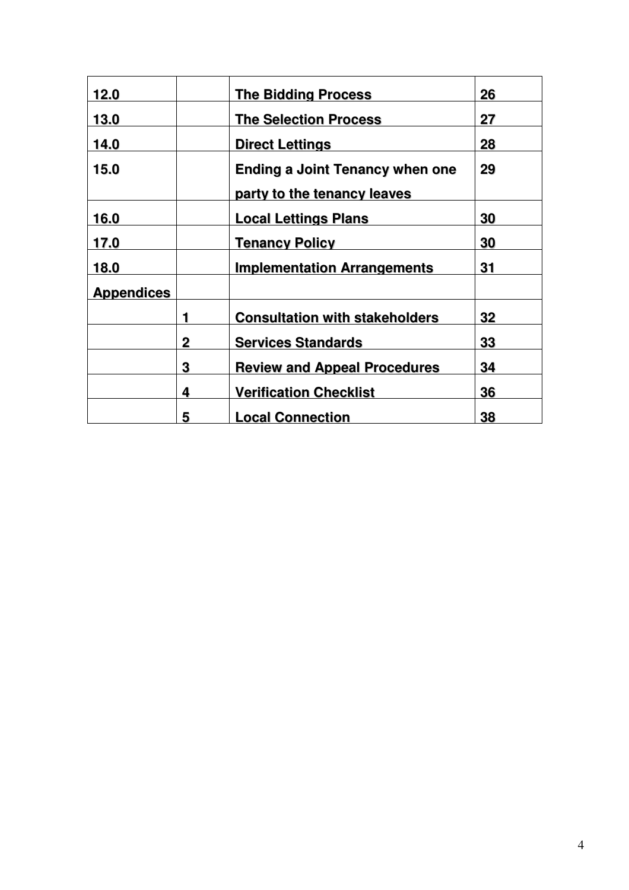| 12.0              |   | <b>The Bidding Process</b>             | 26 |
|-------------------|---|----------------------------------------|----|
| 13.0              |   | <b>The Selection Process</b>           | 27 |
| 14.0              |   | <b>Direct Lettings</b>                 | 28 |
| 15.0              |   | <b>Ending a Joint Tenancy when one</b> | 29 |
|                   |   | party to the tenancy leaves            |    |
| 16.0              |   | <b>Local Lettings Plans</b>            | 30 |
| 17.0              |   | <b>Tenancy Policy</b>                  | 30 |
| 18.0              |   | <b>Implementation Arrangements</b>     | 31 |
| <b>Appendices</b> |   |                                        |    |
|                   | 1 | <b>Consultation with stakeholders</b>  | 32 |
|                   | 2 | <b>Services Standards</b>              | 33 |
|                   | 3 | <b>Review and Appeal Procedures</b>    | 34 |
|                   | 4 | <b>Verification Checklist</b>          | 36 |
|                   | 5 | <b>Local Connection</b>                | 38 |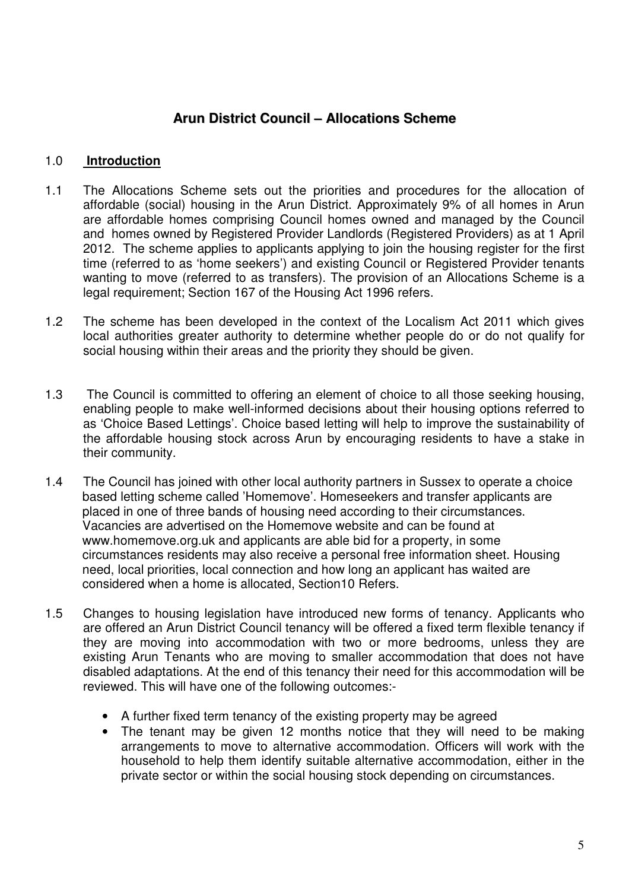# **Arun District Council – Allocations Scheme**

## 1.0 **Introduction**

- 1.1 The Allocations Scheme sets out the priorities and procedures for the allocation of affordable (social) housing in the Arun District. Approximately 9% of all homes in Arun are affordable homes comprising Council homes owned and managed by the Council and homes owned by Registered Provider Landlords (Registered Providers) as at 1 April 2012. The scheme applies to applicants applying to join the housing register for the first time (referred to as 'home seekers') and existing Council or Registered Provider tenants wanting to move (referred to as transfers). The provision of an Allocations Scheme is a legal requirement; Section 167 of the Housing Act 1996 refers.
- 1.2 The scheme has been developed in the context of the Localism Act 2011 which gives local authorities greater authority to determine whether people do or do not qualify for social housing within their areas and the priority they should be given.
- 1.3 The Council is committed to offering an element of choice to all those seeking housing, enabling people to make well-informed decisions about their housing options referred to as 'Choice Based Lettings'. Choice based letting will help to improve the sustainability of the affordable housing stock across Arun by encouraging residents to have a stake in their community.
- 1.4 The Council has joined with other local authority partners in Sussex to operate a choice based letting scheme called 'Homemove'. Homeseekers and transfer applicants are placed in one of three bands of housing need according to their circumstances. Vacancies are advertised on the Homemove website and can be found at www.homemove.org.uk and applicants are able bid for a property, in some circumstances residents may also receive a personal free information sheet. Housing need, local priorities, local connection and how long an applicant has waited are considered when a home is allocated, Section10 Refers.
- 1.5 Changes to housing legislation have introduced new forms of tenancy. Applicants who are offered an Arun District Council tenancy will be offered a fixed term flexible tenancy if they are moving into accommodation with two or more bedrooms, unless they are existing Arun Tenants who are moving to smaller accommodation that does not have disabled adaptations. At the end of this tenancy their need for this accommodation will be reviewed. This will have one of the following outcomes:-
	- A further fixed term tenancy of the existing property may be agreed
	- The tenant may be given 12 months notice that they will need to be making arrangements to move to alternative accommodation. Officers will work with the household to help them identify suitable alternative accommodation, either in the private sector or within the social housing stock depending on circumstances.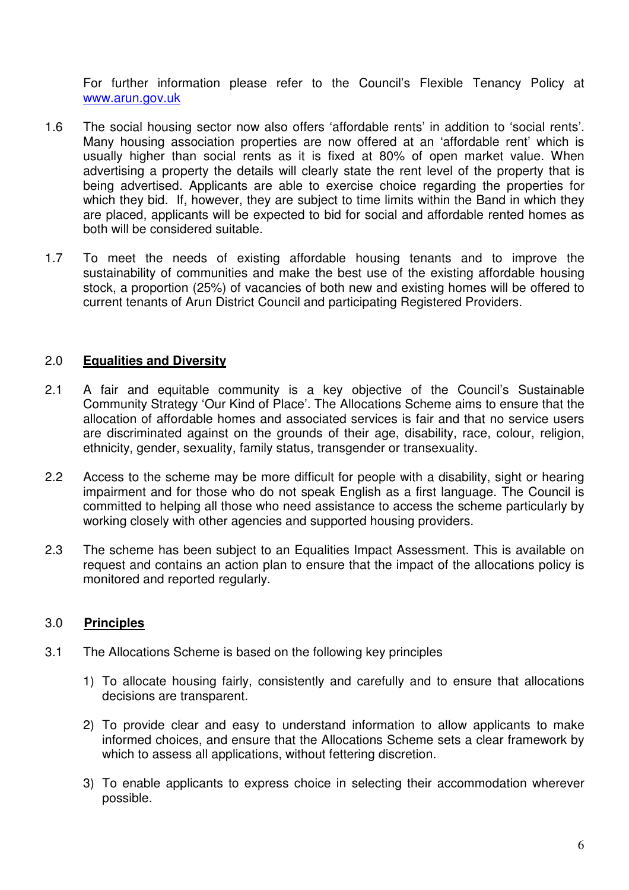For further information please refer to the Council's Flexible Tenancy Policy at www.arun.gov.uk

- 1.6 The social housing sector now also offers 'affordable rents' in addition to 'social rents'. Many housing association properties are now offered at an 'affordable rent' which is usually higher than social rents as it is fixed at 80% of open market value. When advertising a property the details will clearly state the rent level of the property that is being advertised. Applicants are able to exercise choice regarding the properties for which they bid. If, however, they are subject to time limits within the Band in which they are placed, applicants will be expected to bid for social and affordable rented homes as both will be considered suitable.
- 1.7 To meet the needs of existing affordable housing tenants and to improve the sustainability of communities and make the best use of the existing affordable housing stock, a proportion (25%) of vacancies of both new and existing homes will be offered to current tenants of Arun District Council and participating Registered Providers.

# 2.0 **Equalities and Diversity**

- 2.1 A fair and equitable community is a key objective of the Council's Sustainable Community Strategy 'Our Kind of Place'. The Allocations Scheme aims to ensure that the allocation of affordable homes and associated services is fair and that no service users are discriminated against on the grounds of their age, disability, race, colour, religion, ethnicity, gender, sexuality, family status, transgender or transexuality.
- 2.2 Access to the scheme may be more difficult for people with a disability, sight or hearing impairment and for those who do not speak English as a first language. The Council is committed to helping all those who need assistance to access the scheme particularly by working closely with other agencies and supported housing providers.
- 2.3 The scheme has been subject to an Equalities Impact Assessment. This is available on request and contains an action plan to ensure that the impact of the allocations policy is monitored and reported regularly.

## 3.0 **Principles**

- 3.1 The Allocations Scheme is based on the following key principles
	- 1) To allocate housing fairly, consistently and carefully and to ensure that allocations decisions are transparent.
	- 2) To provide clear and easy to understand information to allow applicants to make informed choices, and ensure that the Allocations Scheme sets a clear framework by which to assess all applications, without fettering discretion.
	- 3) To enable applicants to express choice in selecting their accommodation wherever possible.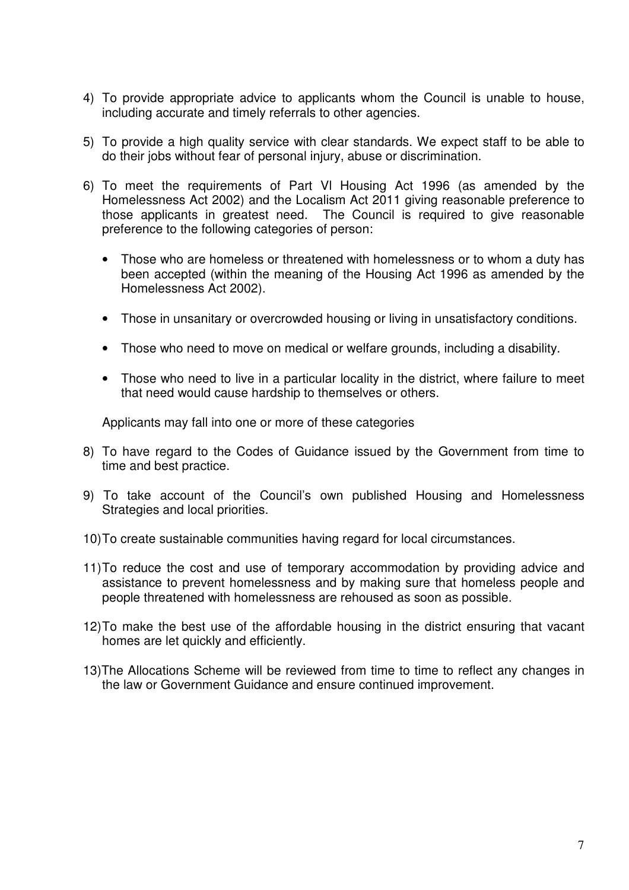- 4) To provide appropriate advice to applicants whom the Council is unable to house, including accurate and timely referrals to other agencies.
- 5) To provide a high quality service with clear standards. We expect staff to be able to do their jobs without fear of personal injury, abuse or discrimination.
- 6) To meet the requirements of Part Vl Housing Act 1996 (as amended by the Homelessness Act 2002) and the Localism Act 2011 giving reasonable preference to those applicants in greatest need. The Council is required to give reasonable preference to the following categories of person:
	- Those who are homeless or threatened with homelessness or to whom a duty has been accepted (within the meaning of the Housing Act 1996 as amended by the Homelessness Act 2002).
	- Those in unsanitary or overcrowded housing or living in unsatisfactory conditions.
	- Those who need to move on medical or welfare grounds, including a disability.
	- Those who need to live in a particular locality in the district, where failure to meet that need would cause hardship to themselves or others.

Applicants may fall into one or more of these categories

- 8) To have regard to the Codes of Guidance issued by the Government from time to time and best practice.
- 9) To take account of the Council's own published Housing and Homelessness Strategies and local priorities.
- 10) To create sustainable communities having regard for local circumstances.
- 11) To reduce the cost and use of temporary accommodation by providing advice and assistance to prevent homelessness and by making sure that homeless people and people threatened with homelessness are rehoused as soon as possible.
- 12) To make the best use of the affordable housing in the district ensuring that vacant homes are let quickly and efficiently.
- 13)The Allocations Scheme will be reviewed from time to time to reflect any changes in the law or Government Guidance and ensure continued improvement.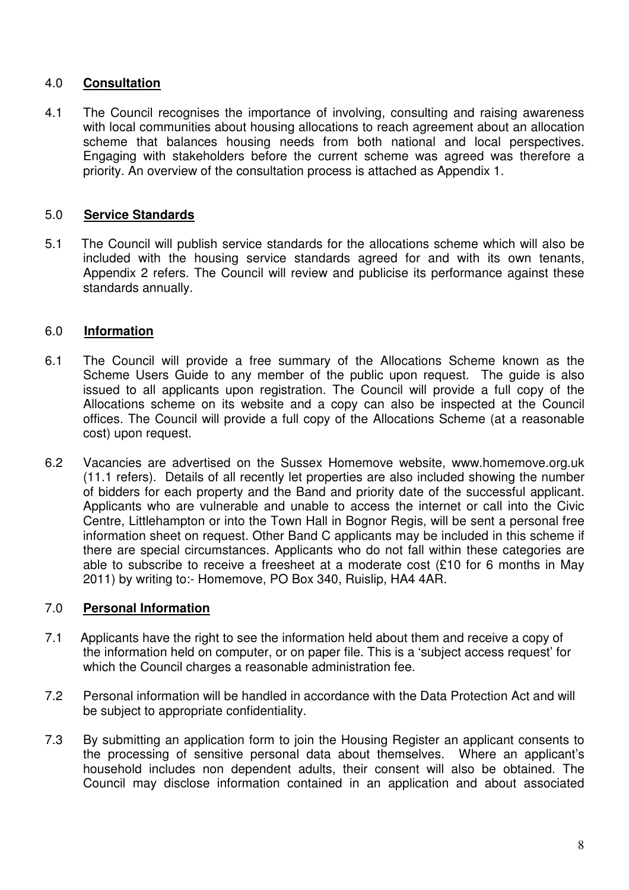# 4.0 **Consultation**

4.1 The Council recognises the importance of involving, consulting and raising awareness with local communities about housing allocations to reach agreement about an allocation scheme that balances housing needs from both national and local perspectives. Engaging with stakeholders before the current scheme was agreed was therefore a priority. An overview of the consultation process is attached as Appendix 1.

## 5.0 **Service Standards**

5.1 The Council will publish service standards for the allocations scheme which will also be included with the housing service standards agreed for and with its own tenants, Appendix 2 refers. The Council will review and publicise its performance against these standards annually.

## 6.0 **Information**

- 6.1 The Council will provide a free summary of the Allocations Scheme known as the Scheme Users Guide to any member of the public upon request. The guide is also issued to all applicants upon registration. The Council will provide a full copy of the Allocations scheme on its website and a copy can also be inspected at the Council offices. The Council will provide a full copy of the Allocations Scheme (at a reasonable cost) upon request.
- 6.2 Vacancies are advertised on the Sussex Homemove website, www.homemove.org.uk (11.1 refers). Details of all recently let properties are also included showing the number of bidders for each property and the Band and priority date of the successful applicant. Applicants who are vulnerable and unable to access the internet or call into the Civic Centre, Littlehampton or into the Town Hall in Bognor Regis, will be sent a personal free information sheet on request. Other Band C applicants may be included in this scheme if there are special circumstances. Applicants who do not fall within these categories are able to subscribe to receive a freesheet at a moderate cost (£10 for 6 months in May 2011) by writing to:- Homemove, PO Box 340, Ruislip, HA4 4AR.

## 7.0 **Personal Information**

- 7.1 Applicants have the right to see the information held about them and receive a copy of the information held on computer, or on paper file. This is a 'subject access request' for which the Council charges a reasonable administration fee.
- 7.2 Personal information will be handled in accordance with the Data Protection Act and will be subject to appropriate confidentiality.
- 7.3 By submitting an application form to join the Housing Register an applicant consents to the processing of sensitive personal data about themselves. Where an applicant's household includes non dependent adults, their consent will also be obtained. The Council may disclose information contained in an application and about associated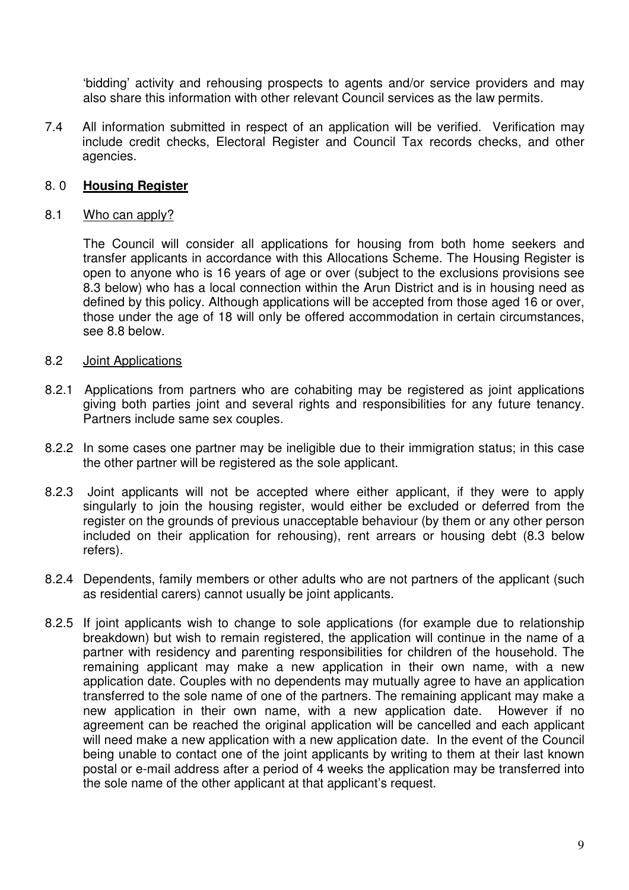'bidding' activity and rehousing prospects to agents and/or service providers and may also share this information with other relevant Council services as the law permits.

7.4 All information submitted in respect of an application will be verified. Verification may include credit checks, Electoral Register and Council Tax records checks, and other agencies.

## 8. 0 **Housing Register**

#### 8.1 Who can apply?

The Council will consider all applications for housing from both home seekers and transfer applicants in accordance with this Allocations Scheme. The Housing Register is open to anyone who is 16 years of age or over (subject to the exclusions provisions see 8.3 below) who has a local connection within the Arun District and is in housing need as defined by this policy. Although applications will be accepted from those aged 16 or over, those under the age of 18 will only be offered accommodation in certain circumstances, see 8.8 below.

#### 8.2 Joint Applications

- 8.2.1 Applications from partners who are cohabiting may be registered as joint applications giving both parties joint and several rights and responsibilities for any future tenancy. Partners include same sex couples.
- 8.2.2 In some cases one partner may be ineligible due to their immigration status; in this case the other partner will be registered as the sole applicant.
- 8.2.3 Joint applicants will not be accepted where either applicant, if they were to apply singularly to join the housing register, would either be excluded or deferred from the register on the grounds of previous unacceptable behaviour (by them or any other person included on their application for rehousing), rent arrears or housing debt (8.3 below refers).
- 8.2.4 Dependents, family members or other adults who are not partners of the applicant (such as residential carers) cannot usually be joint applicants.
- 8.2.5 If joint applicants wish to change to sole applications (for example due to relationship breakdown) but wish to remain registered, the application will continue in the name of a partner with residency and parenting responsibilities for children of the household. The remaining applicant may make a new application in their own name, with a new application date. Couples with no dependents may mutually agree to have an application transferred to the sole name of one of the partners. The remaining applicant may make a new application in their own name, with a new application date. However if no agreement can be reached the original application will be cancelled and each applicant will need make a new application with a new application date. In the event of the Council being unable to contact one of the joint applicants by writing to them at their last known postal or e-mail address after a period of 4 weeks the application may be transferred into the sole name of the other applicant at that applicant's request.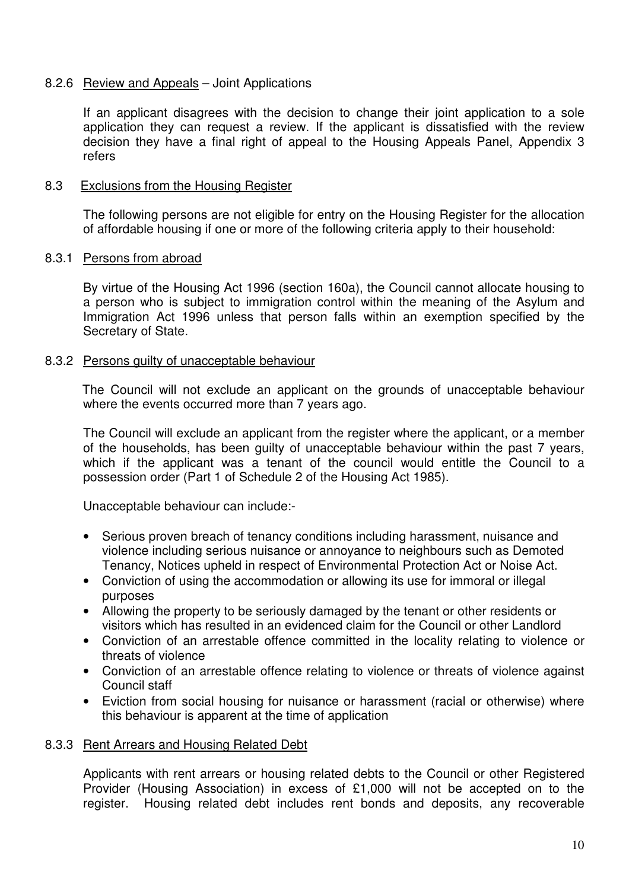## 8.2.6 Review and Appeals – Joint Applications

If an applicant disagrees with the decision to change their joint application to a sole application they can request a review. If the applicant is dissatisfied with the review decision they have a final right of appeal to the Housing Appeals Panel, Appendix 3 refers

#### 8.3 Exclusions from the Housing Register

The following persons are not eligible for entry on the Housing Register for the allocation of affordable housing if one or more of the following criteria apply to their household:

#### 8.3.1 Persons from abroad

By virtue of the Housing Act 1996 (section 160a), the Council cannot allocate housing to a person who is subject to immigration control within the meaning of the Asylum and Immigration Act 1996 unless that person falls within an exemption specified by the Secretary of State.

#### 8.3.2 Persons guilty of unacceptable behaviour

The Council will not exclude an applicant on the grounds of unacceptable behaviour where the events occurred more than 7 years ago.

 The Council will exclude an applicant from the register where the applicant, or a member of the households, has been guilty of unacceptable behaviour within the past 7 years, which if the applicant was a tenant of the council would entitle the Council to a possession order (Part 1 of Schedule 2 of the Housing Act 1985).

Unacceptable behaviour can include:-

- Serious proven breach of tenancy conditions including harassment, nuisance and violence including serious nuisance or annoyance to neighbours such as Demoted Tenancy, Notices upheld in respect of Environmental Protection Act or Noise Act.
- Conviction of using the accommodation or allowing its use for immoral or illegal purposes
- Allowing the property to be seriously damaged by the tenant or other residents or visitors which has resulted in an evidenced claim for the Council or other Landlord
- Conviction of an arrestable offence committed in the locality relating to violence or threats of violence
- Conviction of an arrestable offence relating to violence or threats of violence against Council staff
- Eviction from social housing for nuisance or harassment (racial or otherwise) where this behaviour is apparent at the time of application

#### 8.3.3 Rent Arrears and Housing Related Debt

Applicants with rent arrears or housing related debts to the Council or other Registered Provider (Housing Association) in excess of £1,000 will not be accepted on to the register. Housing related debt includes rent bonds and deposits, any recoverable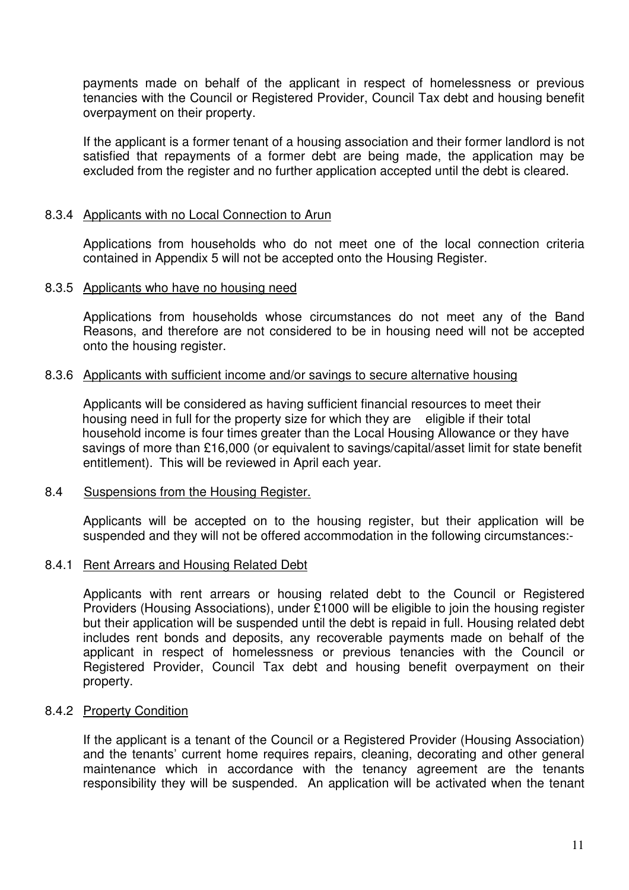payments made on behalf of the applicant in respect of homelessness or previous tenancies with the Council or Registered Provider, Council Tax debt and housing benefit overpayment on their property.

If the applicant is a former tenant of a housing association and their former landlord is not satisfied that repayments of a former debt are being made, the application may be excluded from the register and no further application accepted until the debt is cleared.

#### 8.3.4 Applicants with no Local Connection to Arun

Applications from households who do not meet one of the local connection criteria contained in Appendix 5 will not be accepted onto the Housing Register.

#### 8.3.5 Applicants who have no housing need

Applications from households whose circumstances do not meet any of the Band Reasons, and therefore are not considered to be in housing need will not be accepted onto the housing register.

#### 8.3.6 Applicants with sufficient income and/or savings to secure alternative housing

 Applicants will be considered as having sufficient financial resources to meet their housing need in full for the property size for which they are eligible if their total household income is four times greater than the Local Housing Allowance or they have savings of more than £16,000 (or equivalent to savings/capital/asset limit for state benefit entitlement). This will be reviewed in April each year.

#### 8.4 Suspensions from the Housing Register.

Applicants will be accepted on to the housing register, but their application will be suspended and they will not be offered accommodation in the following circumstances:-

#### 8.4.1 Rent Arrears and Housing Related Debt

Applicants with rent arrears or housing related debt to the Council or Registered Providers (Housing Associations), under £1000 will be eligible to join the housing register but their application will be suspended until the debt is repaid in full. Housing related debt includes rent bonds and deposits, any recoverable payments made on behalf of the applicant in respect of homelessness or previous tenancies with the Council or Registered Provider, Council Tax debt and housing benefit overpayment on their property.

#### 8.4.2 Property Condition

If the applicant is a tenant of the Council or a Registered Provider (Housing Association) and the tenants' current home requires repairs, cleaning, decorating and other general maintenance which in accordance with the tenancy agreement are the tenants responsibility they will be suspended. An application will be activated when the tenant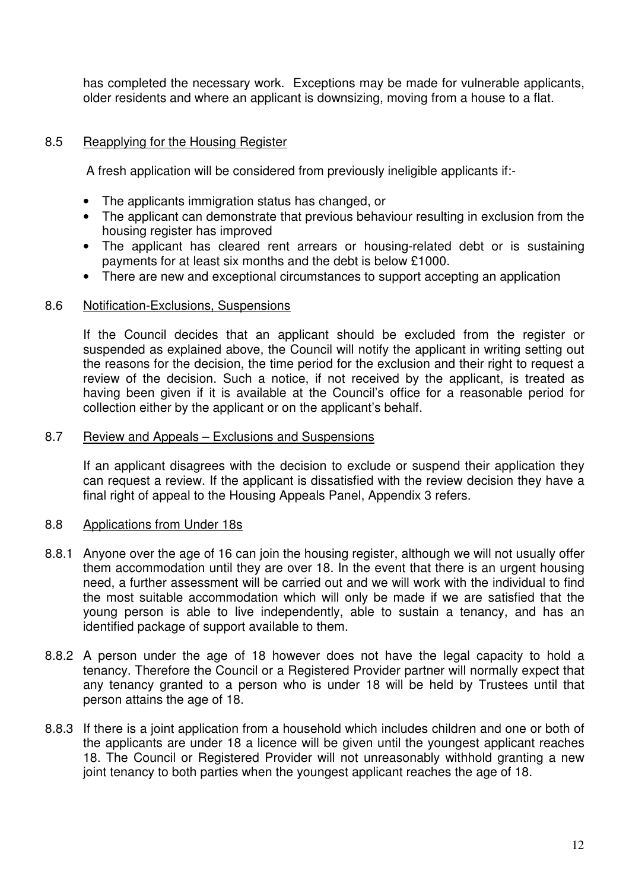has completed the necessary work. Exceptions may be made for vulnerable applicants, older residents and where an applicant is downsizing, moving from a house to a flat.

## 8.5 Reapplying for the Housing Register

A fresh application will be considered from previously ineligible applicants if:-

- The applicants immigration status has changed, or
- The applicant can demonstrate that previous behaviour resulting in exclusion from the housing register has improved
- The applicant has cleared rent arrears or housing-related debt or is sustaining payments for at least six months and the debt is below £1000.
- There are new and exceptional circumstances to support accepting an application

#### 8.6 Notification-Exclusions, Suspensions

If the Council decides that an applicant should be excluded from the register or suspended as explained above, the Council will notify the applicant in writing setting out the reasons for the decision, the time period for the exclusion and their right to request a review of the decision. Such a notice, if not received by the applicant, is treated as having been given if it is available at the Council's office for a reasonable period for collection either by the applicant or on the applicant's behalf.

#### 8.7 Review and Appeals – Exclusions and Suspensions

If an applicant disagrees with the decision to exclude or suspend their application they can request a review. If the applicant is dissatisfied with the review decision they have a final right of appeal to the Housing Appeals Panel, Appendix 3 refers.

#### 8.8 Applications from Under 18s

- 8.8.1 Anyone over the age of 16 can join the housing register, although we will not usually offer them accommodation until they are over 18. In the event that there is an urgent housing need, a further assessment will be carried out and we will work with the individual to find the most suitable accommodation which will only be made if we are satisfied that the young person is able to live independently, able to sustain a tenancy, and has an identified package of support available to them.
- 8.8.2 A person under the age of 18 however does not have the legal capacity to hold a tenancy. Therefore the Council or a Registered Provider partner will normally expect that any tenancy granted to a person who is under 18 will be held by Trustees until that person attains the age of 18.
- 8.8.3 If there is a joint application from a household which includes children and one or both of the applicants are under 18 a licence will be given until the youngest applicant reaches 18. The Council or Registered Provider will not unreasonably withhold granting a new joint tenancy to both parties when the youngest applicant reaches the age of 18.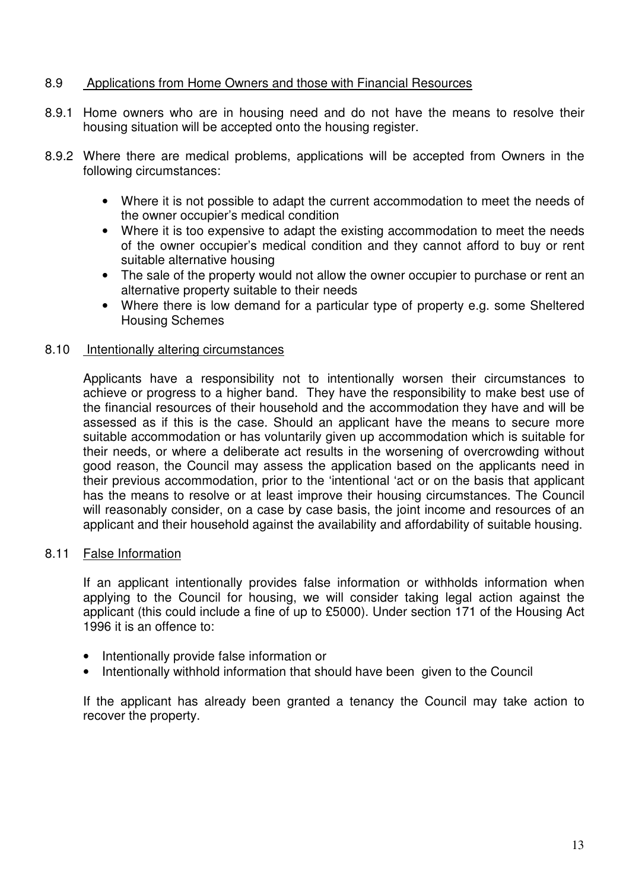## 8.9 Applications from Home Owners and those with Financial Resources

- 8.9.1 Home owners who are in housing need and do not have the means to resolve their housing situation will be accepted onto the housing register.
- 8.9.2 Where there are medical problems, applications will be accepted from Owners in the following circumstances:
	- Where it is not possible to adapt the current accommodation to meet the needs of the owner occupier's medical condition
	- Where it is too expensive to adapt the existing accommodation to meet the needs of the owner occupier's medical condition and they cannot afford to buy or rent suitable alternative housing
	- The sale of the property would not allow the owner occupier to purchase or rent an alternative property suitable to their needs
	- Where there is low demand for a particular type of property e.g. some Sheltered Housing Schemes

#### 8.10 Intentionally altering circumstances

Applicants have a responsibility not to intentionally worsen their circumstances to achieve or progress to a higher band. They have the responsibility to make best use of the financial resources of their household and the accommodation they have and will be assessed as if this is the case. Should an applicant have the means to secure more suitable accommodation or has voluntarily given up accommodation which is suitable for their needs, or where a deliberate act results in the worsening of overcrowding without good reason, the Council may assess the application based on the applicants need in their previous accommodation, prior to the 'intentional 'act or on the basis that applicant has the means to resolve or at least improve their housing circumstances. The Council will reasonably consider, on a case by case basis, the joint income and resources of an applicant and their household against the availability and affordability of suitable housing.

#### 8.11 False Information

If an applicant intentionally provides false information or withholds information when applying to the Council for housing, we will consider taking legal action against the applicant (this could include a fine of up to £5000). Under section 171 of the Housing Act 1996 it is an offence to:

- Intentionally provide false information or
- Intentionally withhold information that should have been given to the Council

If the applicant has already been granted a tenancy the Council may take action to recover the property.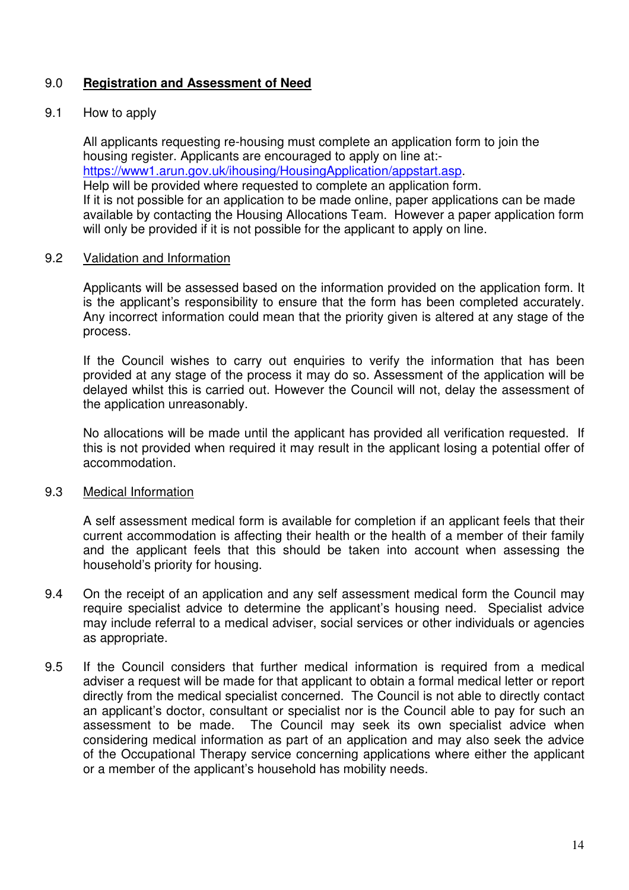## 9.0 **Registration and Assessment of Need**

## 9.1 How to apply

All applicants requesting re-housing must complete an application form to join the housing register. Applicants are encouraged to apply on line at: https://www1.arun.gov.uk/ihousing/HousingApplication/appstart.asp. Help will be provided where requested to complete an application form. If it is not possible for an application to be made online, paper applications can be made available by contacting the Housing Allocations Team. However a paper application form will only be provided if it is not possible for the applicant to apply on line.

#### 9.2 Validation and Information

 Applicants will be assessed based on the information provided on the application form. It is the applicant's responsibility to ensure that the form has been completed accurately. Any incorrect information could mean that the priority given is altered at any stage of the process.

 If the Council wishes to carry out enquiries to verify the information that has been provided at any stage of the process it may do so. Assessment of the application will be delayed whilst this is carried out. However the Council will not, delay the assessment of the application unreasonably.

No allocations will be made until the applicant has provided all verification requested. If this is not provided when required it may result in the applicant losing a potential offer of accommodation.

#### 9.3 Medical Information

 A self assessment medical form is available for completion if an applicant feels that their current accommodation is affecting their health or the health of a member of their family and the applicant feels that this should be taken into account when assessing the household's priority for housing.

- 9.4 On the receipt of an application and any self assessment medical form the Council may require specialist advice to determine the applicant's housing need. Specialist advice may include referral to a medical adviser, social services or other individuals or agencies as appropriate.
- 9.5 If the Council considers that further medical information is required from a medical adviser a request will be made for that applicant to obtain a formal medical letter or report directly from the medical specialist concerned. The Council is not able to directly contact an applicant's doctor, consultant or specialist nor is the Council able to pay for such an assessment to be made. The Council may seek its own specialist advice when considering medical information as part of an application and may also seek the advice of the Occupational Therapy service concerning applications where either the applicant or a member of the applicant's household has mobility needs.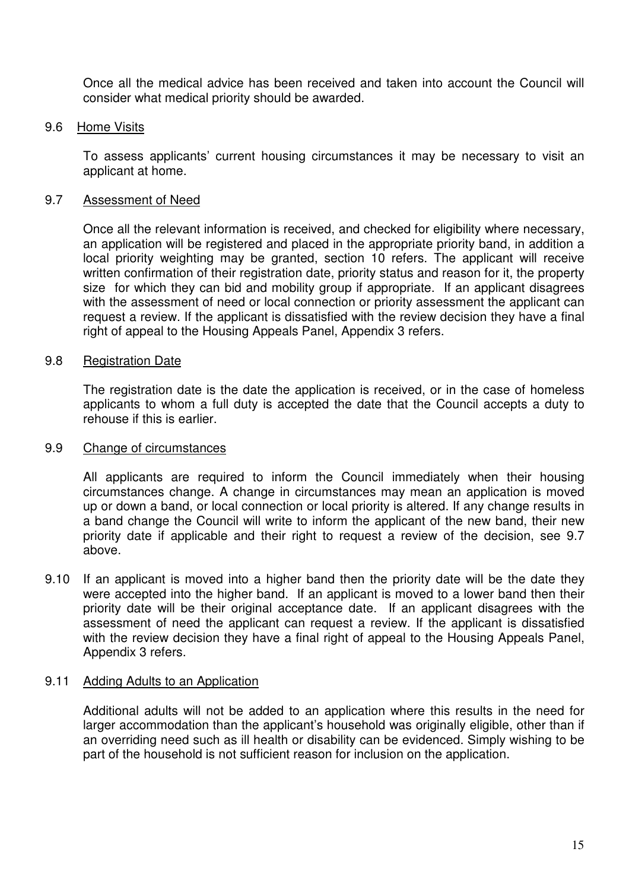Once all the medical advice has been received and taken into account the Council will consider what medical priority should be awarded.

#### 9.6 Home Visits

To assess applicants' current housing circumstances it may be necessary to visit an applicant at home.

#### 9.7 Assessment of Need

Once all the relevant information is received, and checked for eligibility where necessary, an application will be registered and placed in the appropriate priority band, in addition a local priority weighting may be granted, section 10 refers. The applicant will receive written confirmation of their registration date, priority status and reason for it, the property size for which they can bid and mobility group if appropriate. If an applicant disagrees with the assessment of need or local connection or priority assessment the applicant can request a review. If the applicant is dissatisfied with the review decision they have a final right of appeal to the Housing Appeals Panel, Appendix 3 refers.

#### 9.8 Registration Date

The registration date is the date the application is received, or in the case of homeless applicants to whom a full duty is accepted the date that the Council accepts a duty to rehouse if this is earlier.

#### 9.9 Change of circumstances

All applicants are required to inform the Council immediately when their housing circumstances change. A change in circumstances may mean an application is moved up or down a band, or local connection or local priority is altered. If any change results in a band change the Council will write to inform the applicant of the new band, their new priority date if applicable and their right to request a review of the decision, see 9.7 above.

9.10 If an applicant is moved into a higher band then the priority date will be the date they were accepted into the higher band. If an applicant is moved to a lower band then their priority date will be their original acceptance date. If an applicant disagrees with the assessment of need the applicant can request a review. If the applicant is dissatisfied with the review decision they have a final right of appeal to the Housing Appeals Panel, Appendix 3 refers.

#### 9.11 Adding Adults to an Application

Additional adults will not be added to an application where this results in the need for larger accommodation than the applicant's household was originally eligible, other than if an overriding need such as ill health or disability can be evidenced. Simply wishing to be part of the household is not sufficient reason for inclusion on the application.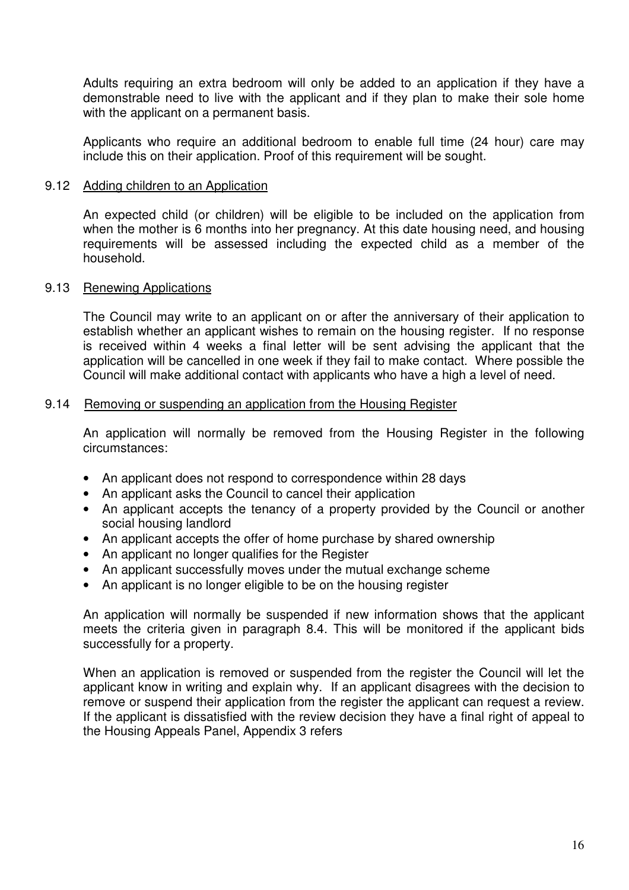Adults requiring an extra bedroom will only be added to an application if they have a demonstrable need to live with the applicant and if they plan to make their sole home with the applicant on a permanent basis.

Applicants who require an additional bedroom to enable full time (24 hour) care may include this on their application. Proof of this requirement will be sought.

#### 9.12 Adding children to an Application

An expected child (or children) will be eligible to be included on the application from when the mother is 6 months into her pregnancy. At this date housing need, and housing requirements will be assessed including the expected child as a member of the household.

#### 9.13 Renewing Applications

The Council may write to an applicant on or after the anniversary of their application to establish whether an applicant wishes to remain on the housing register. If no response is received within 4 weeks a final letter will be sent advising the applicant that the application will be cancelled in one week if they fail to make contact. Where possible the Council will make additional contact with applicants who have a high a level of need.

#### 9.14 Removing or suspending an application from the Housing Register

An application will normally be removed from the Housing Register in the following circumstances:

- An applicant does not respond to correspondence within 28 days
- An applicant asks the Council to cancel their application
- An applicant accepts the tenancy of a property provided by the Council or another social housing landlord
- An applicant accepts the offer of home purchase by shared ownership
- An applicant no longer qualifies for the Register
- An applicant successfully moves under the mutual exchange scheme
- An applicant is no longer eligible to be on the housing register

An application will normally be suspended if new information shows that the applicant meets the criteria given in paragraph 8.4. This will be monitored if the applicant bids successfully for a property.

When an application is removed or suspended from the register the Council will let the applicant know in writing and explain why. If an applicant disagrees with the decision to remove or suspend their application from the register the applicant can request a review. If the applicant is dissatisfied with the review decision they have a final right of appeal to the Housing Appeals Panel, Appendix 3 refers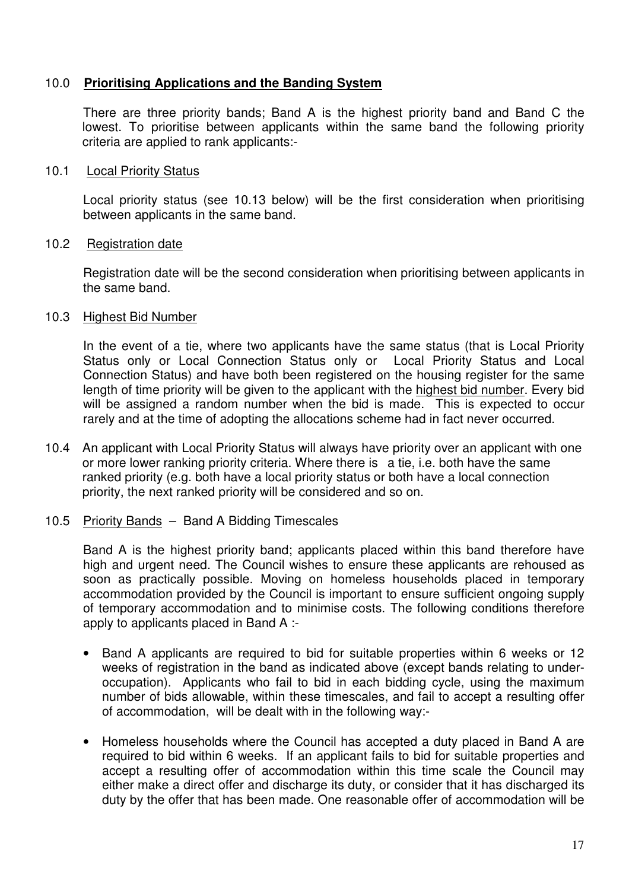## 10.0 **Prioritising Applications and the Banding System**

 There are three priority bands; Band A is the highest priority band and Band C the lowest. To prioritise between applicants within the same band the following priority criteria are applied to rank applicants:-

#### 10.1 Local Priority Status

Local priority status (see 10.13 below) will be the first consideration when prioritising between applicants in the same band.

#### 10.2 Registration date

Registration date will be the second consideration when prioritising between applicants in the same band.

#### 10.3 Highest Bid Number

In the event of a tie, where two applicants have the same status (that is Local Priority Status only or Local Connection Status only or Local Priority Status and Local Connection Status) and have both been registered on the housing register for the same length of time priority will be given to the applicant with the highest bid number. Every bid will be assigned a random number when the bid is made. This is expected to occur rarely and at the time of adopting the allocations scheme had in fact never occurred.

- 10.4 An applicant with Local Priority Status will always have priority over an applicant with one or more lower ranking priority criteria. Where there is a tie, i.e. both have the same ranked priority (e.g. both have a local priority status or both have a local connection priority, the next ranked priority will be considered and so on.
- 10.5 Priority Bands Band A Bidding Timescales

 Band A is the highest priority band; applicants placed within this band therefore have high and urgent need. The Council wishes to ensure these applicants are rehoused as soon as practically possible. Moving on homeless households placed in temporary accommodation provided by the Council is important to ensure sufficient ongoing supply of temporary accommodation and to minimise costs. The following conditions therefore apply to applicants placed in Band A :-

- Band A applicants are required to bid for suitable properties within 6 weeks or 12 weeks of registration in the band as indicated above (except bands relating to underoccupation). Applicants who fail to bid in each bidding cycle, using the maximum number of bids allowable, within these timescales, and fail to accept a resulting offer of accommodation, will be dealt with in the following way:-
- Homeless households where the Council has accepted a duty placed in Band A are required to bid within 6 weeks. If an applicant fails to bid for suitable properties and accept a resulting offer of accommodation within this time scale the Council may either make a direct offer and discharge its duty, or consider that it has discharged its duty by the offer that has been made. One reasonable offer of accommodation will be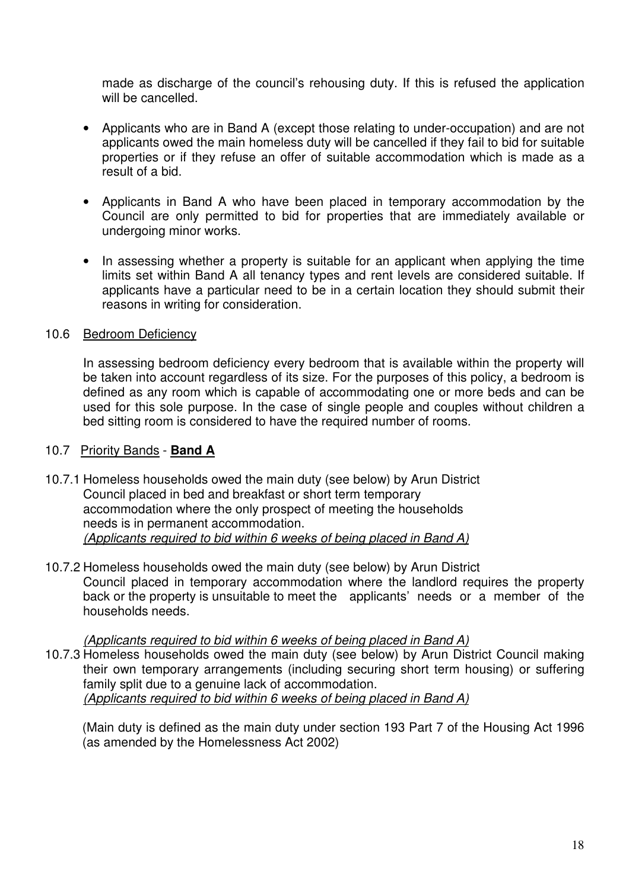made as discharge of the council's rehousing duty. If this is refused the application will be cancelled.

- Applicants who are in Band A (except those relating to under-occupation) and are not applicants owed the main homeless duty will be cancelled if they fail to bid for suitable properties or if they refuse an offer of suitable accommodation which is made as a result of a bid.
- Applicants in Band A who have been placed in temporary accommodation by the Council are only permitted to bid for properties that are immediately available or undergoing minor works.
- In assessing whether a property is suitable for an applicant when applying the time limits set within Band A all tenancy types and rent levels are considered suitable. If applicants have a particular need to be in a certain location they should submit their reasons in writing for consideration.

#### 10.6 Bedroom Deficiency

In assessing bedroom deficiency every bedroom that is available within the property will be taken into account regardless of its size. For the purposes of this policy, a bedroom is defined as any room which is capable of accommodating one or more beds and can be used for this sole purpose. In the case of single people and couples without children a bed sitting room is considered to have the required number of rooms.

## 10.7 Priority Bands - **Band A**

- 10.7.1 Homeless households owed the main duty (see below) by Arun District Council placed in bed and breakfast or short term temporary accommodation where the only prospect of meeting the households needs is in permanent accommodation. (Applicants required to bid within 6 weeks of being placed in Band A)
- 10.7.2 Homeless households owed the main duty (see below) by Arun District Council placed in temporary accommodation where the landlord requires the property back or the property is unsuitable to meet the applicants' needs or a member of the households needs.

(Applicants required to bid within 6 weeks of being placed in Band A)

10.7.3 Homeless households owed the main duty (see below) by Arun District Council making their own temporary arrangements (including securing short term housing) or suffering family split due to a genuine lack of accommodation. (Applicants required to bid within 6 weeks of being placed in Band A)

 (Main duty is defined as the main duty under section 193 Part 7 of the Housing Act 1996 (as amended by the Homelessness Act 2002)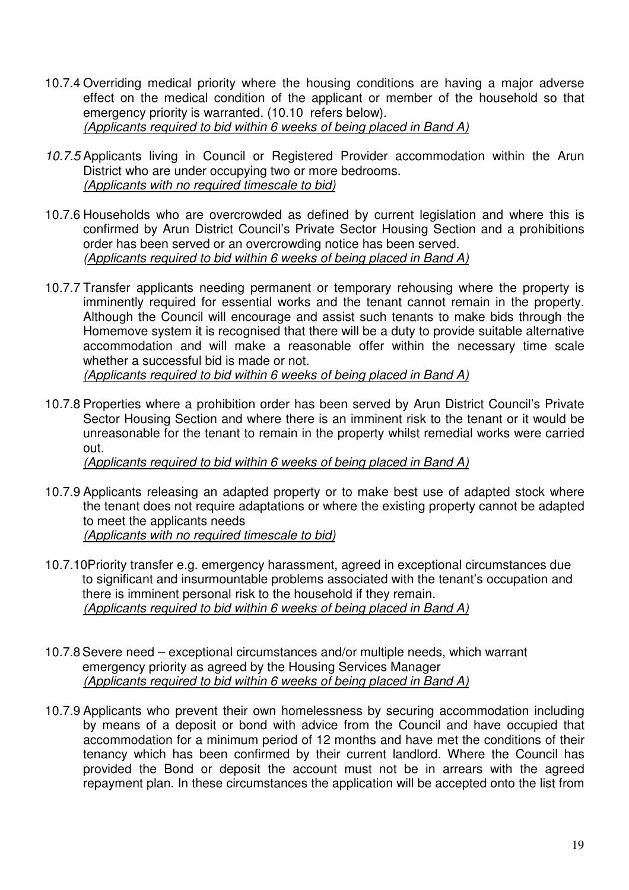- 10.7.4 Overriding medical priority where the housing conditions are having a major adverse effect on the medical condition of the applicant or member of the household so that emergency priority is warranted. (10.10 refers below). (Applicants required to bid within 6 weeks of being placed in Band A)
- 10.7.5 Applicants living in Council or Registered Provider accommodation within the Arun District who are under occupying two or more bedrooms. (Applicants with no required timescale to bid)
- 10.7.6 Households who are overcrowded as defined by current legislation and where this is confirmed by Arun District Council's Private Sector Housing Section and a prohibitions order has been served or an overcrowding notice has been served. (Applicants required to bid within 6 weeks of being placed in Band A)
- 10.7.7 Transfer applicants needing permanent or temporary rehousing where the property is imminently required for essential works and the tenant cannot remain in the property. Although the Council will encourage and assist such tenants to make bids through the Homemove system it is recognised that there will be a duty to provide suitable alternative accommodation and will make a reasonable offer within the necessary time scale whether a successful bid is made or not. (Applicants required to bid within 6 weeks of being placed in Band A)
- 10.7.8 Properties where a prohibition order has been served by Arun District Council's Private Sector Housing Section and where there is an imminent risk to the tenant or it would be unreasonable for the tenant to remain in the property whilst remedial works were carried out.

(Applicants required to bid within 6 weeks of being placed in Band A)

- 10.7.9 Applicants releasing an adapted property or to make best use of adapted stock where the tenant does not require adaptations or where the existing property cannot be adapted to meet the applicants needs (Applicants with no required timescale to bid)
- 10.7.10Priority transfer e.g. emergency harassment, agreed in exceptional circumstances due to significant and insurmountable problems associated with the tenant's occupation and there is imminent personal risk to the household if they remain. (Applicants required to bid within 6 weeks of being placed in Band A)
- 10.7.8 Severe need exceptional circumstances and/or multiple needs, which warrant emergency priority as agreed by the Housing Services Manager (Applicants required to bid within 6 weeks of being placed in Band A)
- 10.7.9 Applicants who prevent their own homelessness by securing accommodation including by means of a deposit or bond with advice from the Council and have occupied that accommodation for a minimum period of 12 months and have met the conditions of their tenancy which has been confirmed by their current landlord. Where the Council has provided the Bond or deposit the account must not be in arrears with the agreed repayment plan. In these circumstances the application will be accepted onto the list from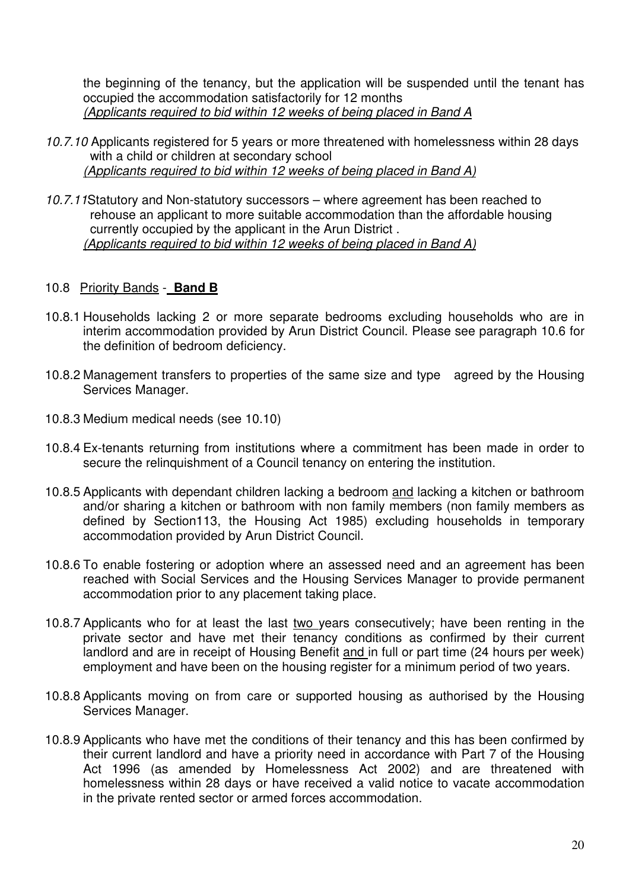the beginning of the tenancy, but the application will be suspended until the tenant has occupied the accommodation satisfactorily for 12 months (Applicants required to bid within 12 weeks of being placed in Band A

- 10.7.10 Applicants registered for 5 years or more threatened with homelessness within 28 days with a child or children at secondary school (Applicants required to bid within 12 weeks of being placed in Band A)
- 10.7.11Statutory and Non-statutory successors where agreement has been reached to rehouse an applicant to more suitable accommodation than the affordable housing currently occupied by the applicant in the Arun District . (Applicants required to bid within 12 weeks of being placed in Band A)

## 10.8 Priority Bands - **Band B**

- 10.8.1 Households lacking 2 or more separate bedrooms excluding households who are in interim accommodation provided by Arun District Council. Please see paragraph 10.6 for the definition of bedroom deficiency.
- 10.8.2 Management transfers to properties of the same size and type agreed by the Housing Services Manager.
- 10.8.3 Medium medical needs (see 10.10)
- 10.8.4 Ex-tenants returning from institutions where a commitment has been made in order to secure the relinquishment of a Council tenancy on entering the institution.
- 10.8.5 Applicants with dependant children lacking a bedroom and lacking a kitchen or bathroom and/or sharing a kitchen or bathroom with non family members (non family members as defined by Section113, the Housing Act 1985) excluding households in temporary accommodation provided by Arun District Council.
- 10.8.6 To enable fostering or adoption where an assessed need and an agreement has been reached with Social Services and the Housing Services Manager to provide permanent accommodation prior to any placement taking place.
- 10.8.7 Applicants who for at least the last two years consecutively; have been renting in the private sector and have met their  $\overline{\text{tenancy}}$  conditions as confirmed by their current landlord and are in receipt of Housing Benefit and in full or part time (24 hours per week) employment and have been on the housing register for a minimum period of two years.
- 10.8.8 Applicants moving on from care or supported housing as authorised by the Housing Services Manager.
- 10.8.9 Applicants who have met the conditions of their tenancy and this has been confirmed by their current landlord and have a priority need in accordance with Part 7 of the Housing Act 1996 (as amended by Homelessness Act 2002) and are threatened with homelessness within 28 days or have received a valid notice to vacate accommodation in the private rented sector or armed forces accommodation.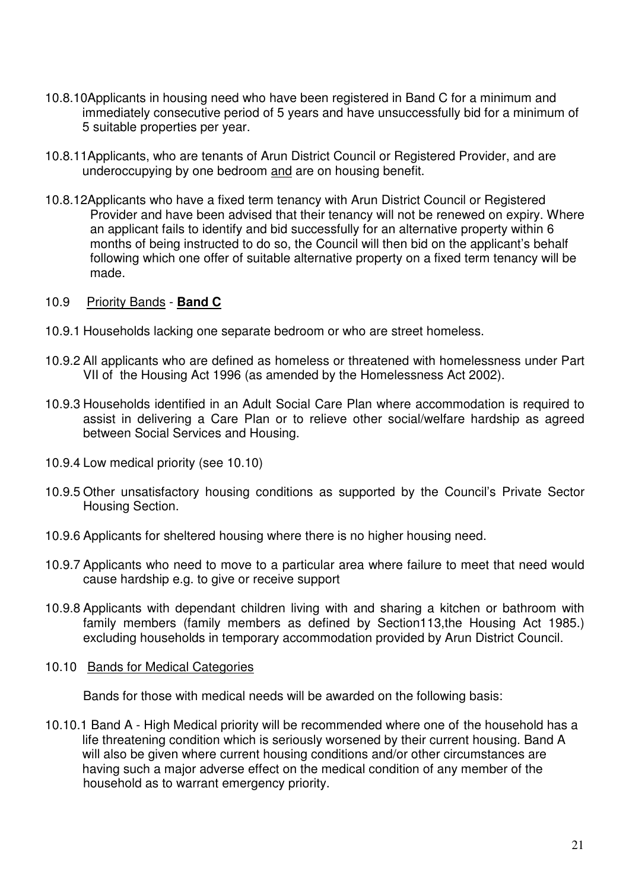- 10.8.10Applicants in housing need who have been registered in Band C for a minimum and immediately consecutive period of 5 years and have unsuccessfully bid for a minimum of 5 suitable properties per year.
- 10.8.11Applicants, who are tenants of Arun District Council or Registered Provider, and are underoccupying by one bedroom and are on housing benefit.
- 10.8.12Applicants who have a fixed term tenancy with Arun District Council or Registered Provider and have been advised that their tenancy will not be renewed on expiry. Where an applicant fails to identify and bid successfully for an alternative property within 6 months of being instructed to do so, the Council will then bid on the applicant's behalf following which one offer of suitable alternative property on a fixed term tenancy will be made.

#### 10.9 Priority Bands - **Band C**

- 10.9.1 Households lacking one separate bedroom or who are street homeless.
- 10.9.2 All applicants who are defined as homeless or threatened with homelessness under Part VII of the Housing Act 1996 (as amended by the Homelessness Act 2002).
- 10.9.3 Households identified in an Adult Social Care Plan where accommodation is required to assist in delivering a Care Plan or to relieve other social/welfare hardship as agreed between Social Services and Housing.
- 10.9.4 Low medical priority (see 10.10)
- 10.9.5 Other unsatisfactory housing conditions as supported by the Council's Private Sector Housing Section.
- 10.9.6 Applicants for sheltered housing where there is no higher housing need.
- 10.9.7 Applicants who need to move to a particular area where failure to meet that need would cause hardship e.g. to give or receive support
- 10.9.8 Applicants with dependant children living with and sharing a kitchen or bathroom with family members (family members as defined by Section113, the Housing Act 1985.) excluding households in temporary accommodation provided by Arun District Council.

#### 10.10 Bands for Medical Categories

Bands for those with medical needs will be awarded on the following basis:

10.10.1 Band A - High Medical priority will be recommended where one of the household has a life threatening condition which is seriously worsened by their current housing. Band A will also be given where current housing conditions and/or other circumstances are having such a major adverse effect on the medical condition of any member of the household as to warrant emergency priority.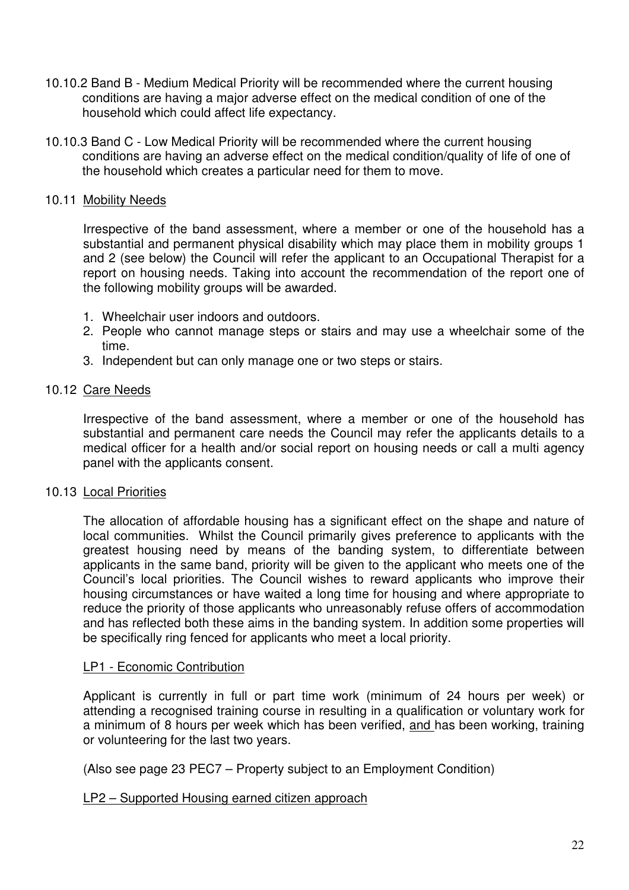- 10.10.2 Band B Medium Medical Priority will be recommended where the current housing conditions are having a major adverse effect on the medical condition of one of the household which could affect life expectancy.
- 10.10.3 Band C Low Medical Priority will be recommended where the current housing conditions are having an adverse effect on the medical condition/quality of life of one of the household which creates a particular need for them to move.

## 10.11 Mobility Needs

Irrespective of the band assessment, where a member or one of the household has a substantial and permanent physical disability which may place them in mobility groups 1 and 2 (see below) the Council will refer the applicant to an Occupational Therapist for a report on housing needs. Taking into account the recommendation of the report one of the following mobility groups will be awarded.

- 1. Wheelchair user indoors and outdoors.
- 2. People who cannot manage steps or stairs and may use a wheelchair some of the time.
- 3. Independent but can only manage one or two steps or stairs.

## 10.12 Care Needs

Irrespective of the band assessment, where a member or one of the household has substantial and permanent care needs the Council may refer the applicants details to a medical officer for a health and/or social report on housing needs or call a multi agency panel with the applicants consent.

#### 10.13 Local Priorities

The allocation of affordable housing has a significant effect on the shape and nature of local communities. Whilst the Council primarily gives preference to applicants with the greatest housing need by means of the banding system, to differentiate between applicants in the same band, priority will be given to the applicant who meets one of the Council's local priorities. The Council wishes to reward applicants who improve their housing circumstances or have waited a long time for housing and where appropriate to reduce the priority of those applicants who unreasonably refuse offers of accommodation and has reflected both these aims in the banding system. In addition some properties will be specifically ring fenced for applicants who meet a local priority.

#### LP1 - Economic Contribution

Applicant is currently in full or part time work (minimum of 24 hours per week) or attending a recognised training course in resulting in a qualification or voluntary work for a minimum of 8 hours per week which has been verified, and has been working, training or volunteering for the last two years.

(Also see page 23 PEC7 – Property subject to an Employment Condition)

#### LP2 – Supported Housing earned citizen approach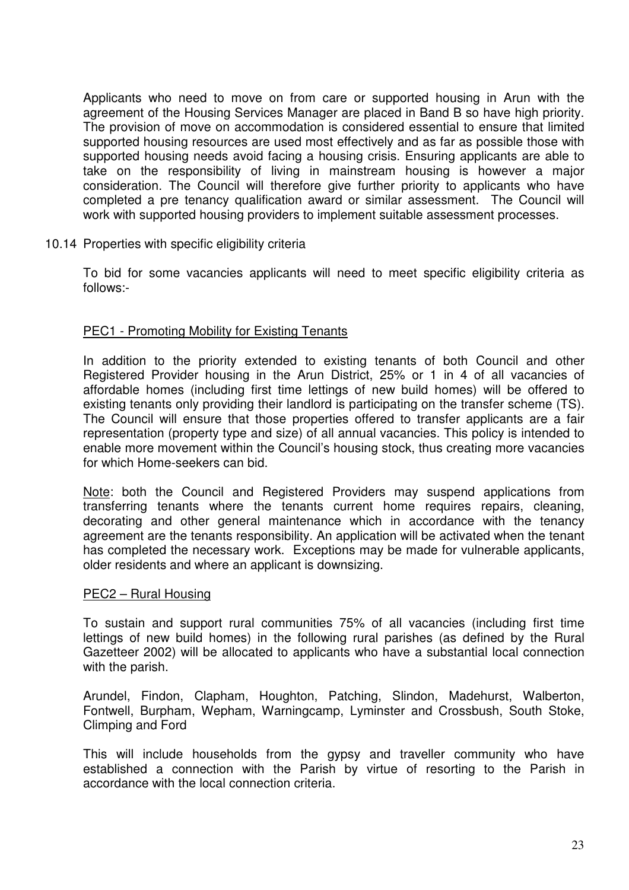Applicants who need to move on from care or supported housing in Arun with the agreement of the Housing Services Manager are placed in Band B so have high priority. The provision of move on accommodation is considered essential to ensure that limited supported housing resources are used most effectively and as far as possible those with supported housing needs avoid facing a housing crisis. Ensuring applicants are able to take on the responsibility of living in mainstream housing is however a major consideration. The Council will therefore give further priority to applicants who have completed a pre tenancy qualification award or similar assessment. The Council will work with supported housing providers to implement suitable assessment processes.

#### 10.14 Properties with specific eligibility criteria

To bid for some vacancies applicants will need to meet specific eligibility criteria as follows:-

#### PEC1 - Promoting Mobility for Existing Tenants

In addition to the priority extended to existing tenants of both Council and other Registered Provider housing in the Arun District, 25% or 1 in 4 of all vacancies of affordable homes (including first time lettings of new build homes) will be offered to existing tenants only providing their landlord is participating on the transfer scheme (TS). The Council will ensure that those properties offered to transfer applicants are a fair representation (property type and size) of all annual vacancies. This policy is intended to enable more movement within the Council's housing stock, thus creating more vacancies for which Home-seekers can bid.

Note: both the Council and Registered Providers may suspend applications from transferring tenants where the tenants current home requires repairs, cleaning, decorating and other general maintenance which in accordance with the tenancy agreement are the tenants responsibility. An application will be activated when the tenant has completed the necessary work. Exceptions may be made for vulnerable applicants, older residents and where an applicant is downsizing.

#### PEC2 – Rural Housing

To sustain and support rural communities 75% of all vacancies (including first time lettings of new build homes) in the following rural parishes (as defined by the Rural Gazetteer 2002) will be allocated to applicants who have a substantial local connection with the parish.

Arundel, Findon, Clapham, Houghton, Patching, Slindon, Madehurst, Walberton, Fontwell, Burpham, Wepham, Warningcamp, Lyminster and Crossbush, South Stoke, Climping and Ford

This will include households from the gypsy and traveller community who have established a connection with the Parish by virtue of resorting to the Parish in accordance with the local connection criteria.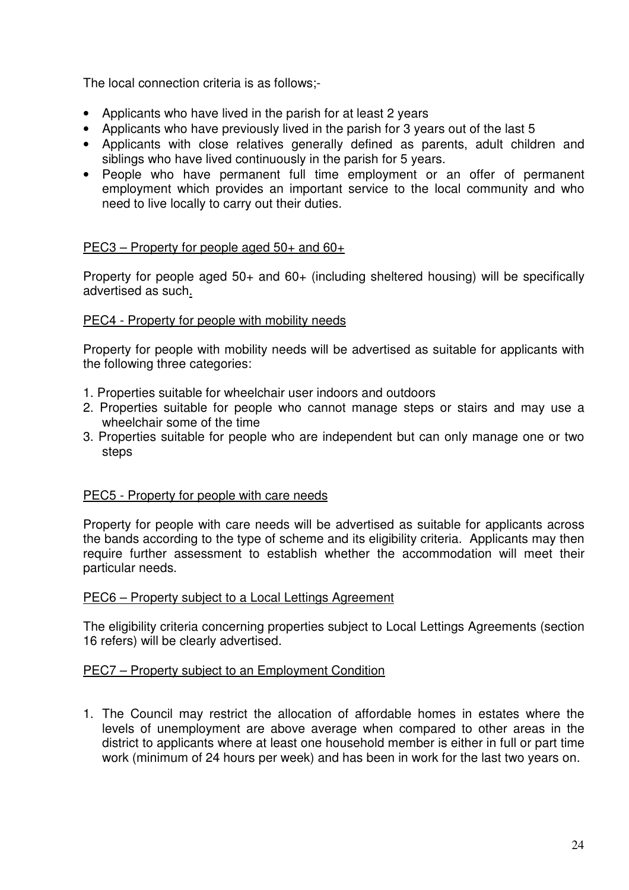The local connection criteria is as follows;-

- Applicants who have lived in the parish for at least 2 years
- Applicants who have previously lived in the parish for 3 years out of the last 5
- Applicants with close relatives generally defined as parents, adult children and siblings who have lived continuously in the parish for 5 years.
- People who have permanent full time employment or an offer of permanent employment which provides an important service to the local community and who need to live locally to carry out their duties.

#### PEC3 – Property for people aged 50+ and 60+

Property for people aged 50+ and 60+ (including sheltered housing) will be specifically advertised as such.

#### PEC4 - Property for people with mobility needs

Property for people with mobility needs will be advertised as suitable for applicants with the following three categories:

- 1. Properties suitable for wheelchair user indoors and outdoors
- 2. Properties suitable for people who cannot manage steps or stairs and may use a wheelchair some of the time
- 3. Properties suitable for people who are independent but can only manage one or two steps

#### PEC5 - Property for people with care needs

Property for people with care needs will be advertised as suitable for applicants across the bands according to the type of scheme and its eligibility criteria. Applicants may then require further assessment to establish whether the accommodation will meet their particular needs.

#### PEC6 – Property subject to a Local Lettings Agreement

The eligibility criteria concerning properties subject to Local Lettings Agreements (section 16 refers) will be clearly advertised.

#### PEC7 – Property subject to an Employment Condition

1. The Council may restrict the allocation of affordable homes in estates where the levels of unemployment are above average when compared to other areas in the district to applicants where at least one household member is either in full or part time work (minimum of 24 hours per week) and has been in work for the last two years on.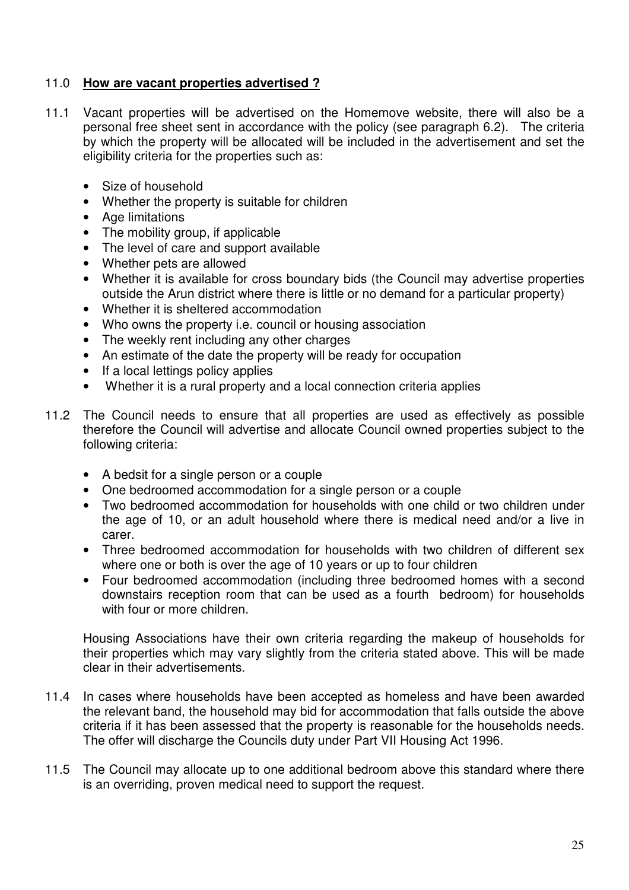## 11.0 **How are vacant properties advertised ?**

- 11.1 Vacant properties will be advertised on the Homemove website, there will also be a personal free sheet sent in accordance with the policy (see paragraph 6.2). The criteria by which the property will be allocated will be included in the advertisement and set the eligibility criteria for the properties such as:
	- Size of household
	- Whether the property is suitable for children
	- Age limitations
	- The mobility group, if applicable
	- The level of care and support available
	- Whether pets are allowed
	- Whether it is available for cross boundary bids (the Council may advertise properties outside the Arun district where there is little or no demand for a particular property)
	- Whether it is sheltered accommodation
	- Who owns the property i.e. council or housing association
	- The weekly rent including any other charges
	- An estimate of the date the property will be ready for occupation
	- If a local lettings policy applies
	- Whether it is a rural property and a local connection criteria applies
- 11.2 The Council needs to ensure that all properties are used as effectively as possible therefore the Council will advertise and allocate Council owned properties subject to the following criteria:
	- A bedsit for a single person or a couple
	- One bedroomed accommodation for a single person or a couple
	- Two bedroomed accommodation for households with one child or two children under the age of 10, or an adult household where there is medical need and/or a live in carer.
	- Three bedroomed accommodation for households with two children of different sex where one or both is over the age of 10 years or up to four children
	- Four bedroomed accommodation (including three bedroomed homes with a second downstairs reception room that can be used as a fourth bedroom) for households with four or more children

Housing Associations have their own criteria regarding the makeup of households for their properties which may vary slightly from the criteria stated above. This will be made clear in their advertisements.

- 11.4 In cases where households have been accepted as homeless and have been awarded the relevant band, the household may bid for accommodation that falls outside the above criteria if it has been assessed that the property is reasonable for the households needs. The offer will discharge the Councils duty under Part VII Housing Act 1996.
- 11.5 The Council may allocate up to one additional bedroom above this standard where there is an overriding, proven medical need to support the request.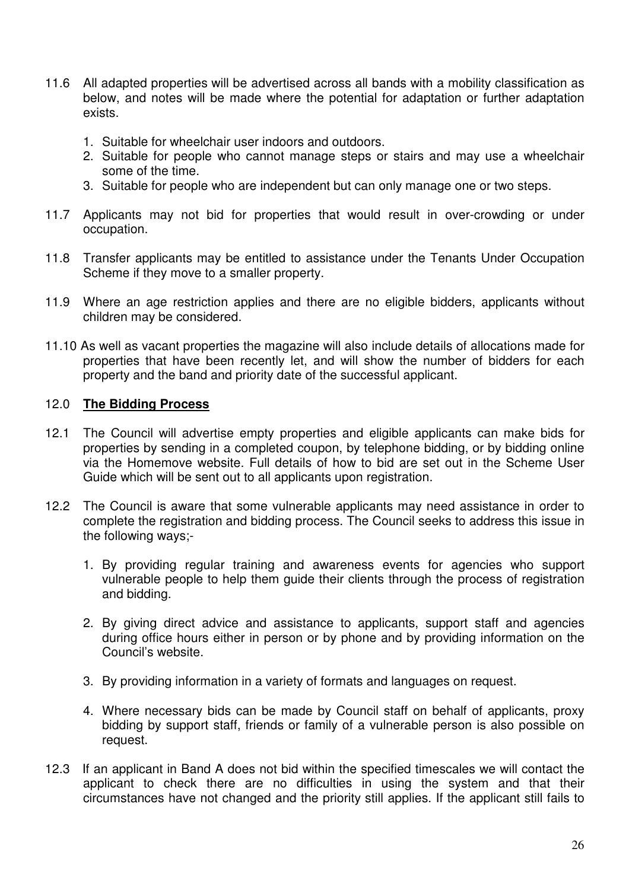- 11.6 All adapted properties will be advertised across all bands with a mobility classification as below, and notes will be made where the potential for adaptation or further adaptation exists.
	- 1. Suitable for wheelchair user indoors and outdoors.
	- 2. Suitable for people who cannot manage steps or stairs and may use a wheelchair some of the time.
	- 3. Suitable for people who are independent but can only manage one or two steps.
- 11.7 Applicants may not bid for properties that would result in over-crowding or under occupation.
- 11.8 Transfer applicants may be entitled to assistance under the Tenants Under Occupation Scheme if they move to a smaller property.
- 11.9 Where an age restriction applies and there are no eligible bidders, applicants without children may be considered.
- 11.10 As well as vacant properties the magazine will also include details of allocations made for properties that have been recently let, and will show the number of bidders for each property and the band and priority date of the successful applicant.

#### 12.0 **The Bidding Process**

- 12.1 The Council will advertise empty properties and eligible applicants can make bids for properties by sending in a completed coupon, by telephone bidding, or by bidding online via the Homemove website. Full details of how to bid are set out in the Scheme User Guide which will be sent out to all applicants upon registration.
- 12.2 The Council is aware that some vulnerable applicants may need assistance in order to complete the registration and bidding process. The Council seeks to address this issue in the following ways;-
	- 1. By providing regular training and awareness events for agencies who support vulnerable people to help them guide their clients through the process of registration and bidding.
	- 2. By giving direct advice and assistance to applicants, support staff and agencies during office hours either in person or by phone and by providing information on the Council's website.
	- 3. By providing information in a variety of formats and languages on request.
	- 4. Where necessary bids can be made by Council staff on behalf of applicants, proxy bidding by support staff, friends or family of a vulnerable person is also possible on request.
- 12.3 If an applicant in Band A does not bid within the specified timescales we will contact the applicant to check there are no difficulties in using the system and that their circumstances have not changed and the priority still applies. If the applicant still fails to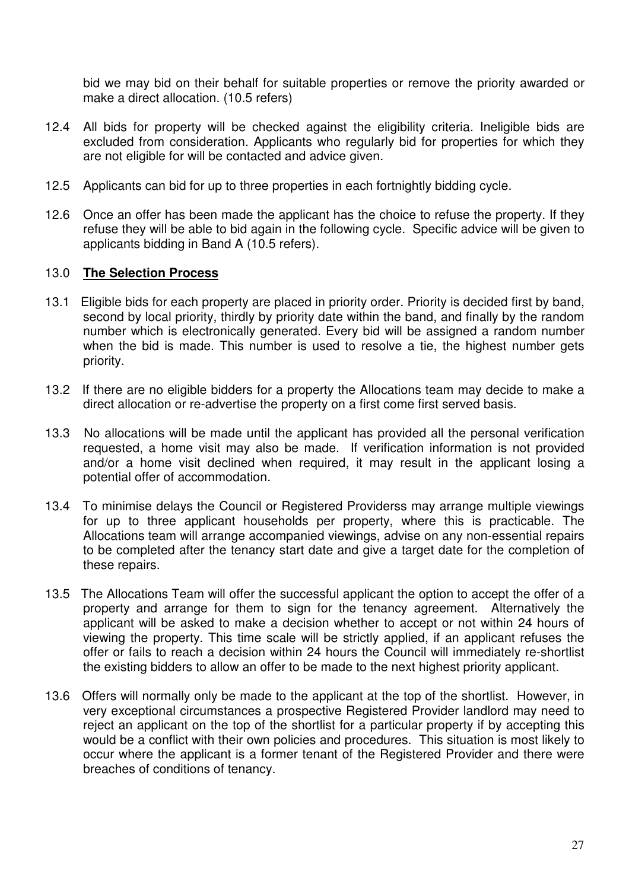bid we may bid on their behalf for suitable properties or remove the priority awarded or make a direct allocation. (10.5 refers)

- 12.4 All bids for property will be checked against the eligibility criteria. Ineligible bids are excluded from consideration. Applicants who regularly bid for properties for which they are not eligible for will be contacted and advice given.
- 12.5 Applicants can bid for up to three properties in each fortnightly bidding cycle.
- 12.6 Once an offer has been made the applicant has the choice to refuse the property. If they refuse they will be able to bid again in the following cycle. Specific advice will be given to applicants bidding in Band A (10.5 refers).

#### 13.0 **The Selection Process**

- 13.1 Eligible bids for each property are placed in priority order. Priority is decided first by band, second by local priority, thirdly by priority date within the band, and finally by the random number which is electronically generated. Every bid will be assigned a random number when the bid is made. This number is used to resolve a tie, the highest number gets priority.
- 13.2 If there are no eligible bidders for a property the Allocations team may decide to make a direct allocation or re-advertise the property on a first come first served basis.
- 13.3 No allocations will be made until the applicant has provided all the personal verification requested, a home visit may also be made. If verification information is not provided and/or a home visit declined when required, it may result in the applicant losing a potential offer of accommodation.
- 13.4 To minimise delays the Council or Registered Providerss may arrange multiple viewings for up to three applicant households per property, where this is practicable. The Allocations team will arrange accompanied viewings, advise on any non-essential repairs to be completed after the tenancy start date and give a target date for the completion of these repairs.
- 13.5 The Allocations Team will offer the successful applicant the option to accept the offer of a property and arrange for them to sign for the tenancy agreement. Alternatively the applicant will be asked to make a decision whether to accept or not within 24 hours of viewing the property. This time scale will be strictly applied, if an applicant refuses the offer or fails to reach a decision within 24 hours the Council will immediately re-shortlist the existing bidders to allow an offer to be made to the next highest priority applicant.
- 13.6 Offers will normally only be made to the applicant at the top of the shortlist. However, in very exceptional circumstances a prospective Registered Provider landlord may need to reject an applicant on the top of the shortlist for a particular property if by accepting this would be a conflict with their own policies and procedures. This situation is most likely to occur where the applicant is a former tenant of the Registered Provider and there were breaches of conditions of tenancy.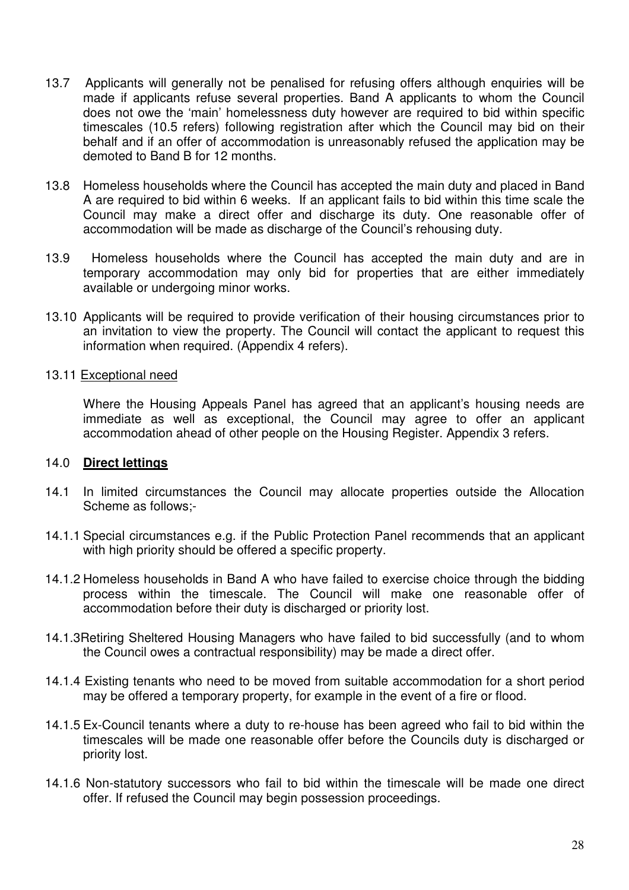- 13.7 Applicants will generally not be penalised for refusing offers although enquiries will be made if applicants refuse several properties. Band A applicants to whom the Council does not owe the 'main' homelessness duty however are required to bid within specific timescales (10.5 refers) following registration after which the Council may bid on their behalf and if an offer of accommodation is unreasonably refused the application may be demoted to Band B for 12 months.
- 13.8 Homeless households where the Council has accepted the main duty and placed in Band A are required to bid within 6 weeks. If an applicant fails to bid within this time scale the Council may make a direct offer and discharge its duty. One reasonable offer of accommodation will be made as discharge of the Council's rehousing duty.
- 13.9 Homeless households where the Council has accepted the main duty and are in temporary accommodation may only bid for properties that are either immediately available or undergoing minor works.
- 13.10 Applicants will be required to provide verification of their housing circumstances prior to an invitation to view the property. The Council will contact the applicant to request this information when required. (Appendix 4 refers).

#### 13.11 Exceptional need

Where the Housing Appeals Panel has agreed that an applicant's housing needs are immediate as well as exceptional, the Council may agree to offer an applicant accommodation ahead of other people on the Housing Register. Appendix 3 refers.

#### 14.0 **Direct lettings**

- 14.1 In limited circumstances the Council may allocate properties outside the Allocation Scheme as follows;-
- 14.1.1 Special circumstances e.g. if the Public Protection Panel recommends that an applicant with high priority should be offered a specific property.
- 14.1.2 Homeless households in Band A who have failed to exercise choice through the bidding process within the timescale. The Council will make one reasonable offer of accommodation before their duty is discharged or priority lost.
- 14.1.3Retiring Sheltered Housing Managers who have failed to bid successfully (and to whom the Council owes a contractual responsibility) may be made a direct offer.
- 14.1.4 Existing tenants who need to be moved from suitable accommodation for a short period may be offered a temporary property, for example in the event of a fire or flood.
- 14.1.5 Ex-Council tenants where a duty to re-house has been agreed who fail to bid within the timescales will be made one reasonable offer before the Councils duty is discharged or priority lost.
- 14.1.6 Non-statutory successors who fail to bid within the timescale will be made one direct offer. If refused the Council may begin possession proceedings.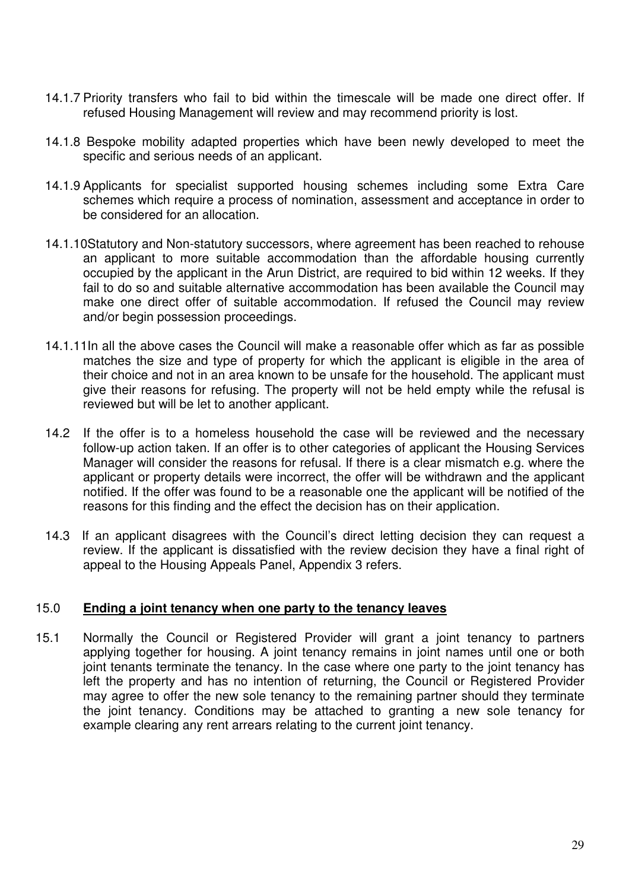- 14.1.7 Priority transfers who fail to bid within the timescale will be made one direct offer. If refused Housing Management will review and may recommend priority is lost.
- 14.1.8 Bespoke mobility adapted properties which have been newly developed to meet the specific and serious needs of an applicant.
- 14.1.9 Applicants for specialist supported housing schemes including some Extra Care schemes which require a process of nomination, assessment and acceptance in order to be considered for an allocation.
- 14.1.10Statutory and Non-statutory successors, where agreement has been reached to rehouse an applicant to more suitable accommodation than the affordable housing currently occupied by the applicant in the Arun District, are required to bid within 12 weeks. If they fail to do so and suitable alternative accommodation has been available the Council may make one direct offer of suitable accommodation. If refused the Council may review and/or begin possession proceedings.
- 14.1.11In all the above cases the Council will make a reasonable offer which as far as possible matches the size and type of property for which the applicant is eligible in the area of their choice and not in an area known to be unsafe for the household. The applicant must give their reasons for refusing. The property will not be held empty while the refusal is reviewed but will be let to another applicant.
- 14.2 If the offer is to a homeless household the case will be reviewed and the necessary follow-up action taken. If an offer is to other categories of applicant the Housing Services Manager will consider the reasons for refusal. If there is a clear mismatch e.g. where the applicant or property details were incorrect, the offer will be withdrawn and the applicant notified. If the offer was found to be a reasonable one the applicant will be notified of the reasons for this finding and the effect the decision has on their application.
- 14.3 If an applicant disagrees with the Council's direct letting decision they can request a review. If the applicant is dissatisfied with the review decision they have a final right of appeal to the Housing Appeals Panel, Appendix 3 refers.

## 15.0 **Ending a joint tenancy when one party to the tenancy leaves**

15.1 Normally the Council or Registered Provider will grant a joint tenancy to partners applying together for housing. A joint tenancy remains in joint names until one or both joint tenants terminate the tenancy. In the case where one party to the joint tenancy has left the property and has no intention of returning, the Council or Registered Provider may agree to offer the new sole tenancy to the remaining partner should they terminate the joint tenancy. Conditions may be attached to granting a new sole tenancy for example clearing any rent arrears relating to the current joint tenancy.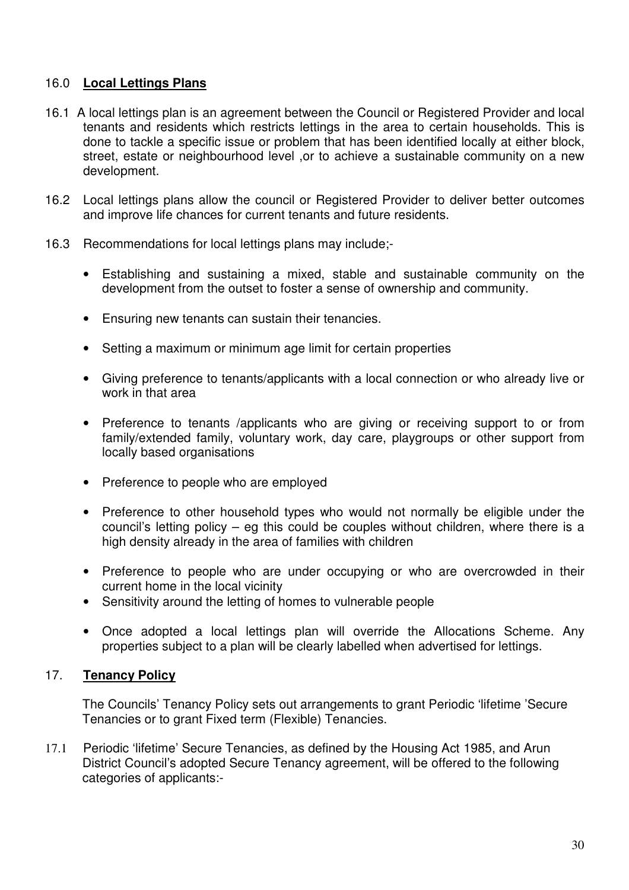## 16.0 **Local Lettings Plans**

- 16.1 A local lettings plan is an agreement between the Council or Registered Provider and local tenants and residents which restricts lettings in the area to certain households. This is done to tackle a specific issue or problem that has been identified locally at either block, street, estate or neighbourhood level ,or to achieve a sustainable community on a new development.
- 16.2 Local lettings plans allow the council or Registered Provider to deliver better outcomes and improve life chances for current tenants and future residents.
- 16.3 Recommendations for local lettings plans may include;-
	- Establishing and sustaining a mixed, stable and sustainable community on the development from the outset to foster a sense of ownership and community.
	- Ensuring new tenants can sustain their tenancies.
	- Setting a maximum or minimum age limit for certain properties
	- Giving preference to tenants/applicants with a local connection or who already live or work in that area
	- Preference to tenants /applicants who are giving or receiving support to or from family/extended family, voluntary work, day care, playgroups or other support from locally based organisations
	- Preference to people who are employed
	- Preference to other household types who would not normally be eligible under the council's letting policy – eg this could be couples without children, where there is a high density already in the area of families with children
	- Preference to people who are under occupying or who are overcrowded in their current home in the local vicinity
	- Sensitivity around the letting of homes to vulnerable people
	- Once adopted a local lettings plan will override the Allocations Scheme. Any properties subject to a plan will be clearly labelled when advertised for lettings.

## 17. **Tenancy Policy**

 The Councils' Tenancy Policy sets out arrangements to grant Periodic 'lifetime 'Secure Tenancies or to grant Fixed term (Flexible) Tenancies.

17.1 Periodic 'lifetime' Secure Tenancies, as defined by the Housing Act 1985, and Arun District Council's adopted Secure Tenancy agreement, will be offered to the following categories of applicants:-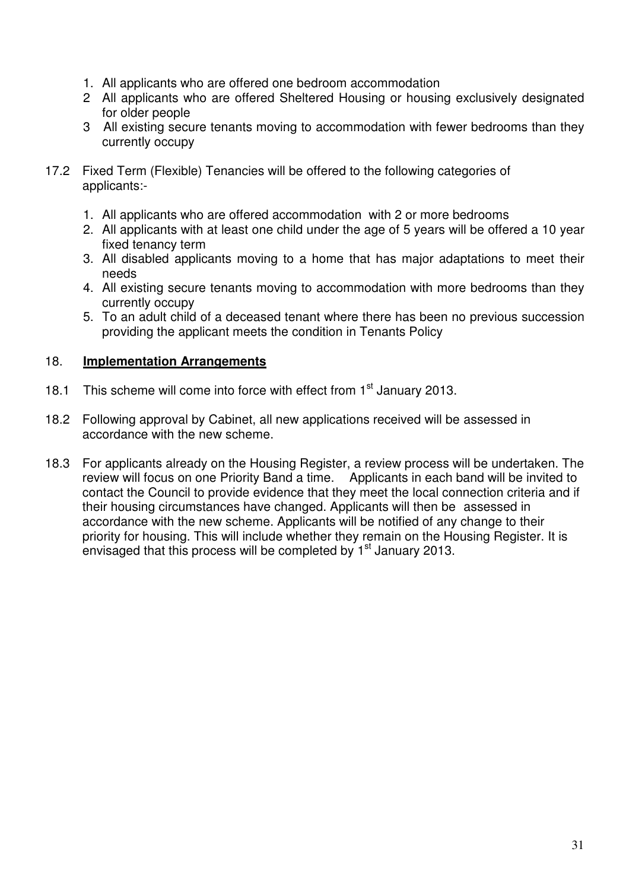- 1. All applicants who are offered one bedroom accommodation
- 2 All applicants who are offered Sheltered Housing or housing exclusively designated for older people
- 3 All existing secure tenants moving to accommodation with fewer bedrooms than they currently occupy
- 17.2 Fixed Term (Flexible) Tenancies will be offered to the following categories of applicants:-
	- 1. All applicants who are offered accommodation with 2 or more bedrooms
	- 2. All applicants with at least one child under the age of 5 years will be offered a 10 year fixed tenancy term
	- 3. All disabled applicants moving to a home that has major adaptations to meet their needs
	- 4. All existing secure tenants moving to accommodation with more bedrooms than they currently occupy
	- 5. To an adult child of a deceased tenant where there has been no previous succession providing the applicant meets the condition in Tenants Policy

## 18. **Implementation Arrangements**

- 18.1 This scheme will come into force with effect from 1<sup>st</sup> January 2013.
- 18.2 Following approval by Cabinet, all new applications received will be assessed in accordance with the new scheme.
- 18.3 For applicants already on the Housing Register, a review process will be undertaken. The review will focus on one Priority Band a time. Applicants in each band will be invited to contact the Council to provide evidence that they meet the local connection criteria and if their housing circumstances have changed. Applicants will then be assessed in accordance with the new scheme. Applicants will be notified of any change to their priority for housing. This will include whether they remain on the Housing Register. It is envisaged that this process will be completed by  $1<sup>st</sup>$  January 2013.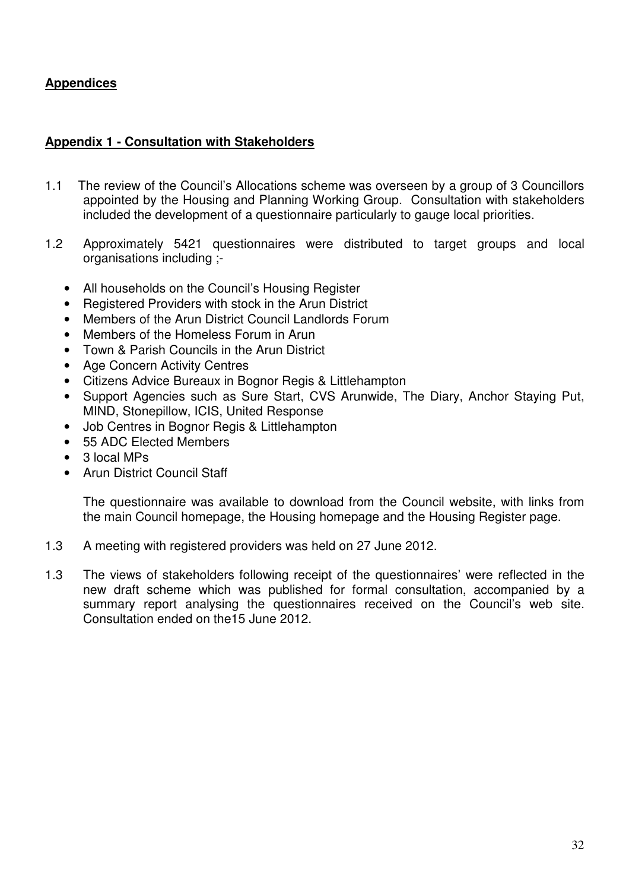# **Appendices**

## **Appendix 1 - Consultation with Stakeholders**

- 1.1 The review of the Council's Allocations scheme was overseen by a group of 3 Councillors appointed by the Housing and Planning Working Group. Consultation with stakeholders included the development of a questionnaire particularly to gauge local priorities.
- 1.2 Approximately 5421 questionnaires were distributed to target groups and local organisations including ;-
	- All households on the Council's Housing Register
	- Registered Providers with stock in the Arun District
	- Members of the Arun District Council Landlords Forum
	- Members of the Homeless Forum in Arun
	- Town & Parish Councils in the Arun District
	- Age Concern Activity Centres
	- Citizens Advice Bureaux in Bognor Regis & Littlehampton
	- Support Agencies such as Sure Start, CVS Arunwide, The Diary, Anchor Staying Put, MIND, Stonepillow, ICIS, United Response
	- Job Centres in Bognor Regis & Littlehampton
	- 55 ADC Elected Members
	- 3 local MPs
	- Arun District Council Staff

The questionnaire was available to download from the Council website, with links from the main Council homepage, the Housing homepage and the Housing Register page.

- 1.3 A meeting with registered providers was held on 27 June 2012.
- 1.3 The views of stakeholders following receipt of the questionnaires' were reflected in the new draft scheme which was published for formal consultation, accompanied by a summary report analysing the questionnaires received on the Council's web site. Consultation ended on the15 June 2012.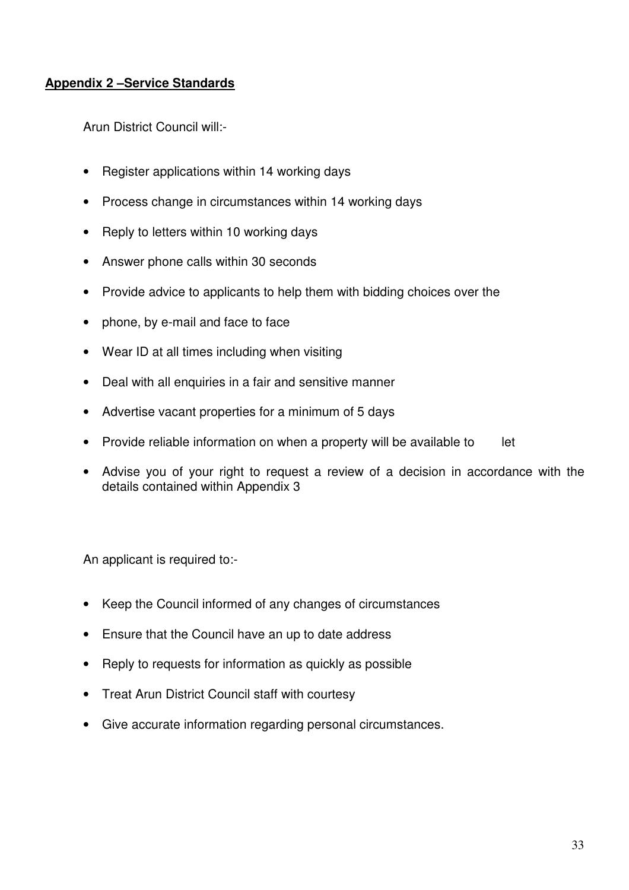# **Appendix 2 –Service Standards**

Arun District Council will:-

- Register applications within 14 working days
- Process change in circumstances within 14 working days
- Reply to letters within 10 working days
- Answer phone calls within 30 seconds
- Provide advice to applicants to help them with bidding choices over the
- phone, by e-mail and face to face
- Wear ID at all times including when visiting
- Deal with all enquiries in a fair and sensitive manner
- Advertise vacant properties for a minimum of 5 days
- Provide reliable information on when a property will be available to let
- Advise you of your right to request a review of a decision in accordance with the details contained within Appendix 3

An applicant is required to:-

- Keep the Council informed of any changes of circumstances
- Ensure that the Council have an up to date address
- Reply to requests for information as quickly as possible
- Treat Arun District Council staff with courtesy
- Give accurate information regarding personal circumstances.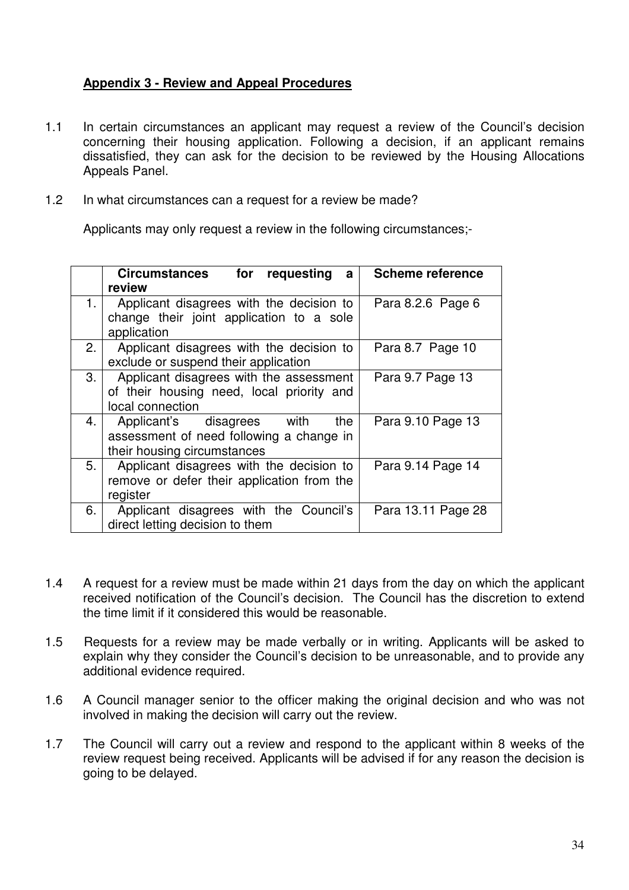## **Appendix 3 - Review and Appeal Procedures**

- 1.1 In certain circumstances an applicant may request a review of the Council's decision concerning their housing application. Following a decision, if an applicant remains dissatisfied, they can ask for the decision to be reviewed by the Housing Allocations Appeals Panel.
- 1.2 In what circumstances can a request for a review be made?

Applicants may only request a review in the following circumstances;-

|    | <b>Circumstances</b><br>for<br>requesting<br>a | <b>Scheme reference</b> |
|----|------------------------------------------------|-------------------------|
|    | review                                         |                         |
|    | Applicant disagrees with the decision to       | Para 8.2.6 Page 6       |
|    | change their joint application to a sole       |                         |
|    | application                                    |                         |
| 2. | Applicant disagrees with the decision to       | Para 8.7 Page 10        |
|    | exclude or suspend their application           |                         |
| 3. | Applicant disagrees with the assessment        | Para 9.7 Page 13        |
|    | of their housing need, local priority and      |                         |
|    | local connection                               |                         |
| 4. | Applicant's disagrees with<br>the              | Para 9.10 Page 13       |
|    | assessment of need following a change in       |                         |
|    | their housing circumstances                    |                         |
| 5. | Applicant disagrees with the decision to       | Para 9.14 Page 14       |
|    | remove or defer their application from the     |                         |
|    | register                                       |                         |
| 6. | Applicant disagrees with the Council's         | Para 13.11 Page 28      |
|    | direct letting decision to them                |                         |

- 1.4 A request for a review must be made within 21 days from the day on which the applicant received notification of the Council's decision. The Council has the discretion to extend the time limit if it considered this would be reasonable.
- 1.5 Requests for a review may be made verbally or in writing. Applicants will be asked to explain why they consider the Council's decision to be unreasonable, and to provide any additional evidence required.
- 1.6 A Council manager senior to the officer making the original decision and who was not involved in making the decision will carry out the review.
- 1.7 The Council will carry out a review and respond to the applicant within 8 weeks of the review request being received. Applicants will be advised if for any reason the decision is going to be delayed.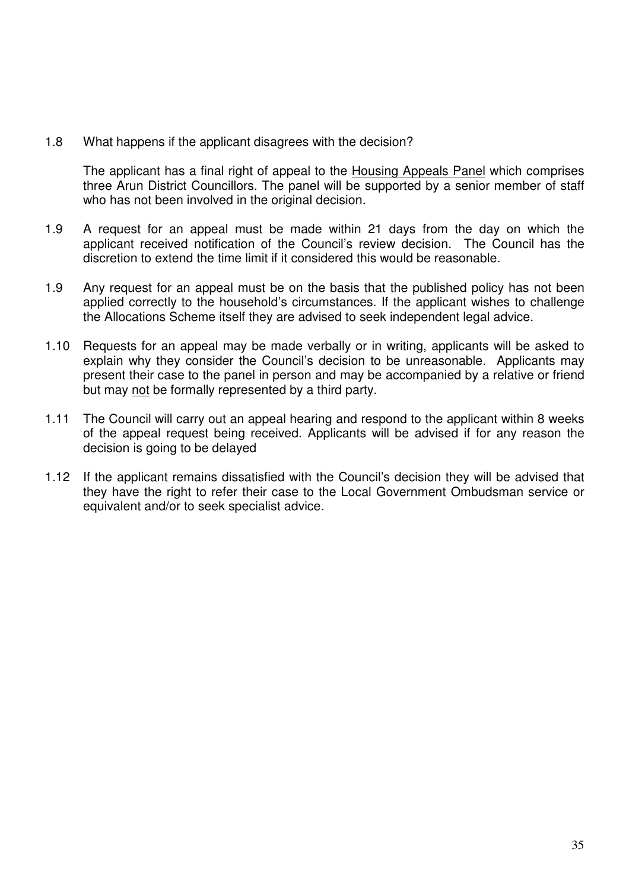1.8 What happens if the applicant disagrees with the decision?

The applicant has a final right of appeal to the Housing Appeals Panel which comprises three Arun District Councillors. The panel will be supported by a senior member of staff who has not been involved in the original decision.

- 1.9 A request for an appeal must be made within 21 days from the day on which the applicant received notification of the Council's review decision. The Council has the discretion to extend the time limit if it considered this would be reasonable.
- 1.9 Any request for an appeal must be on the basis that the published policy has not been applied correctly to the household's circumstances. If the applicant wishes to challenge the Allocations Scheme itself they are advised to seek independent legal advice.
- 1.10 Requests for an appeal may be made verbally or in writing, applicants will be asked to explain why they consider the Council's decision to be unreasonable. Applicants may present their case to the panel in person and may be accompanied by a relative or friend but may not be formally represented by a third party.
- 1.11 The Council will carry out an appeal hearing and respond to the applicant within 8 weeks of the appeal request being received. Applicants will be advised if for any reason the decision is going to be delayed
- 1.12 If the applicant remains dissatisfied with the Council's decision they will be advised that they have the right to refer their case to the Local Government Ombudsman service or equivalent and/or to seek specialist advice.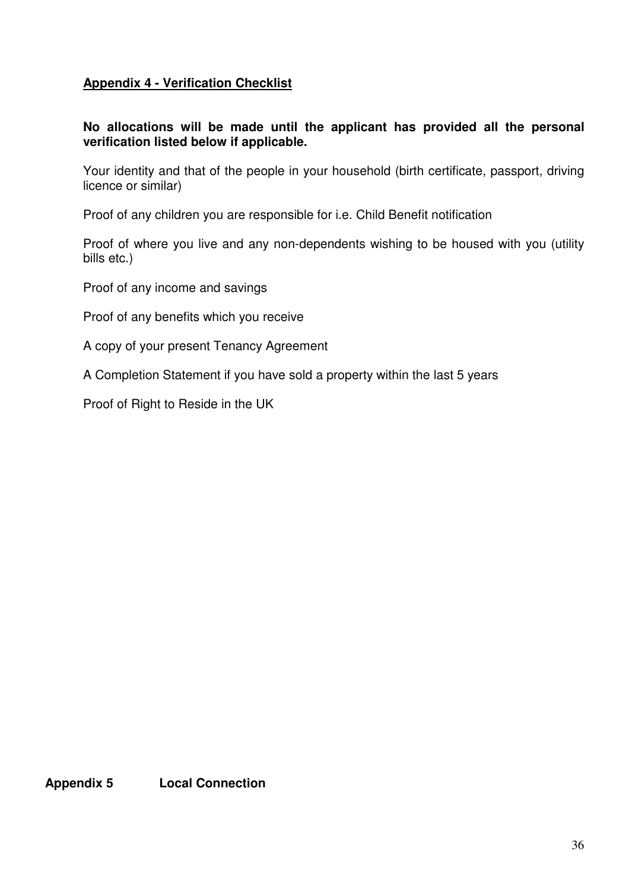# **Appendix 4 - Verification Checklist**

## **No allocations will be made until the applicant has provided all the personal verification listed below if applicable.**

Your identity and that of the people in your household (birth certificate, passport, driving licence or similar)

Proof of any children you are responsible for i.e. Child Benefit notification

Proof of where you live and any non-dependents wishing to be housed with you (utility bills etc.)

Proof of any income and savings

Proof of any benefits which you receive

A copy of your present Tenancy Agreement

A Completion Statement if you have sold a property within the last 5 years

Proof of Right to Reside in the UK